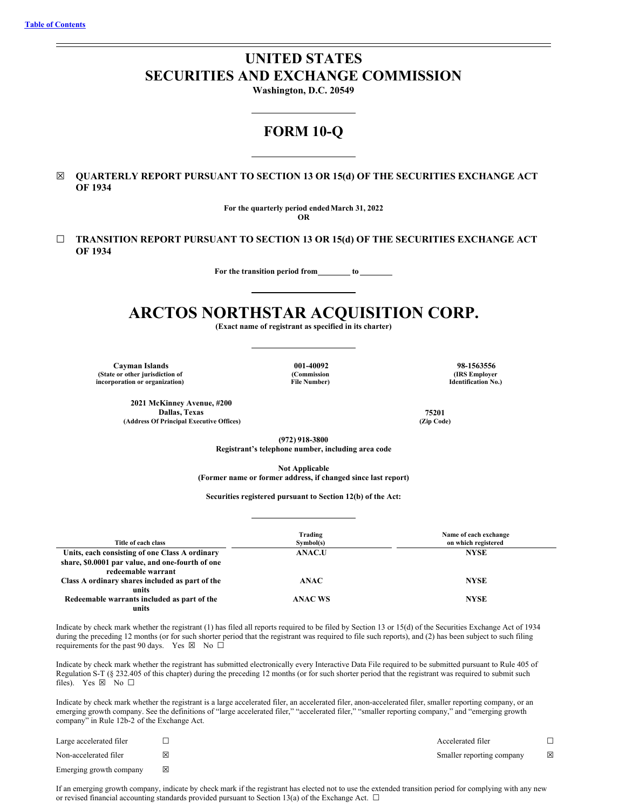## **UNITED STATES SECURITIES AND EXCHANGE COMMISSION**

**Washington, D.C. 20549**

## **FORM 10-Q**

☒ **QUARTERLY REPORT PURSUANT TO SECTION 13 OR 15(d) OF THE SECURITIES EXCHANGE ACT OF 1934**

**For the quarterly period endedMarch 31, 2022**

**OR**

☐ **TRANSITION REPORT PURSUANT TO SECTION 13 OR 15(d) OF THE SECURITIES EXCHANGE ACT OF 1934**

**For the transition period from to**

# **ARCTOS NORTHSTAR ACQUISITION CORP.**

**(Exact name of registrant as specified in its charter)**

**Cayman Islands 001-40092 98-1563556 (State or other jurisdiction of incorporation or organization)**

**(Commission File Number)**

**(IRS Employer Identification No.)**

**2021 McKinney Avenue, #200 Dallas, Texas 75201 (Address Of Principal Executive Offices) (Zip Code)**

**(972) 918-3800 Registrant's telephone number, including area code**

**Not Applicable (Former name or former address, if changed since last report)**

**Securities registered pursuant to Section 12(b) of the Act:**

| Title of each class                              | Trading        | Name of each exchange<br>on which registered |
|--------------------------------------------------|----------------|----------------------------------------------|
|                                                  | Symbol(s)      |                                              |
| Units, each consisting of one Class A ordinary   | <b>ANAC.U</b>  | <b>NYSE</b>                                  |
| share, \$0.0001 par value, and one-fourth of one |                |                                              |
| redeemable warrant                               |                |                                              |
| Class A ordinary shares included as part of the  | <b>ANAC</b>    | <b>NYSE</b>                                  |
| units                                            |                |                                              |
| Redeemable warrants included as part of the      | <b>ANAC WS</b> | <b>NYSE</b>                                  |
| units                                            |                |                                              |

Indicate by check mark whether the registrant (1) has filed all reports required to be filed by Section 13 or 15(d) of the Securities Exchange Act of 1934 during the preceding 12 months (or for such shorter period that the registrant was required to file such reports), and (2) has been subject to such filing requirements for the past 90 days. Yes  $\boxtimes$  No  $\Box$ 

Indicate by check mark whether the registrant has submitted electronically every Interactive Data File required to be submitted pursuant to Rule 405 of Regulation S-T (§ 232.405 of this chapter) during the preceding 12 months (or for such shorter period that the registrant was required to submit such files). Yes  $\boxtimes$  No  $\square$ 

Indicate by check mark whether the registrant is a large accelerated filer, an accelerated filer, anon-accelerated filer, smaller reporting company, or an emerging growth company. See the definitions of "large accelerated filer," "accelerated filer," "smaller reporting company," and "emerging growth company" in Rule 12b-2 of the Exchange Act.

| Large accelerated filer |   | Accelerated filer         |             |
|-------------------------|---|---------------------------|-------------|
| Non-accelerated filer   | 冈 | Smaller reporting company | $\boxtimes$ |
| Emerging growth company |   |                           |             |

If an emerging growth company, indicate by check mark if the registrant has elected not to use the extended transition period for complying with any new or revised financial accounting standards provided pursuant to Section 13(a) of the Exchange Act.  $\Box$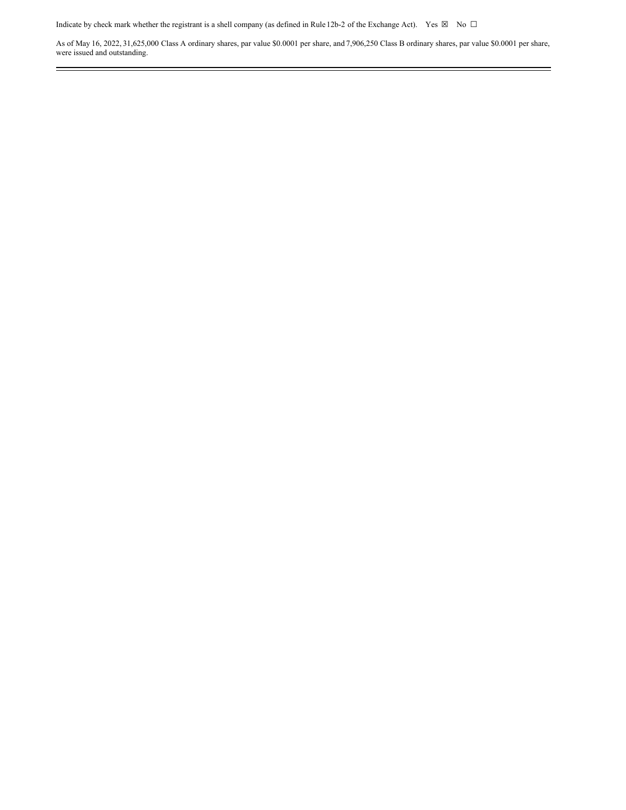Indicate by check mark whether the registrant is a shell company (as defined in Rule 12b-2 of the Exchange Act). Yes  $\boxtimes$  No  $\Box$ 

As of May 16, 2022, 31,625,000 Class A ordinary shares, par value \$0.0001 per share, and 7,906,250 Class B ordinary shares, par value \$0.0001 per share, were issued and outstanding.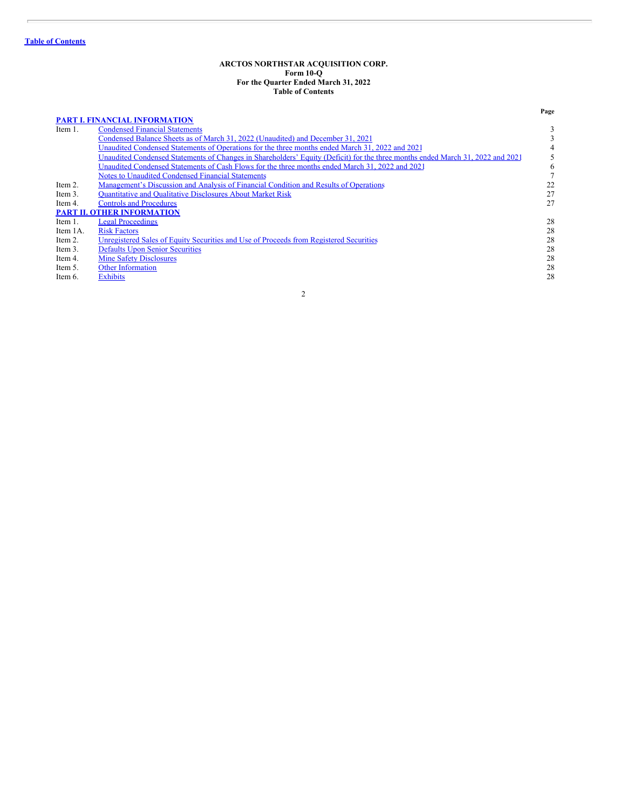#### **ARCTOS NORTHSTAR ACQUISITION CORP. Form 10-Q For the Quarter Ended March 31, 2022 Table of Contents**

<span id="page-2-0"></span>

|          |                                                                                                                                | Page |
|----------|--------------------------------------------------------------------------------------------------------------------------------|------|
|          | <b>PART I. FINANCIAL INFORMATION</b>                                                                                           |      |
| Item 1.  | <b>Condensed Financial Statements</b>                                                                                          | 3    |
|          | Condensed Balance Sheets as of March 31, 2022 (Unaudited) and December 31, 2021                                                |      |
|          | Unaudited Condensed Statements of Operations for the three months ended March 31, 2022 and 2021                                |      |
|          | Unaudited Condensed Statements of Changes in Shareholders' Equity (Deficit) for the three months ended March 31, 2022 and 2021 |      |
|          | Unaudited Condensed Statements of Cash Flows for the three months ended March 31, 2022 and 2021                                | 6    |
|          | Notes to Unaudited Condensed Financial Statements                                                                              |      |
| Item 2.  | Management's Discussion and Analysis of Financial Condition and Results of Operations                                          | 22   |
| Item 3.  | <b>Quantitative and Qualitative Disclosures About Market Risk</b>                                                              | 27   |
| Item 4.  | <b>Controls and Procedures</b>                                                                                                 | 27   |
|          | <b>PART II. OTHER INFORMATION</b>                                                                                              |      |
| Item 1.  | <b>Legal Proceedings</b>                                                                                                       | 28   |
| Item 1A. | <b>Risk Factors</b>                                                                                                            | 28   |
| Item 2.  | Unregistered Sales of Equity Securities and Use of Proceeds from Registered Securities                                         | 28   |
| Item 3.  | <b>Defaults Upon Senior Securities</b>                                                                                         | 28   |
| Item 4.  | <b>Mine Safety Disclosures</b>                                                                                                 | 28   |
| Item 5.  | <b>Other Information</b>                                                                                                       | 28   |
| Item 6.  | <b>Exhibits</b>                                                                                                                | 28   |
|          |                                                                                                                                |      |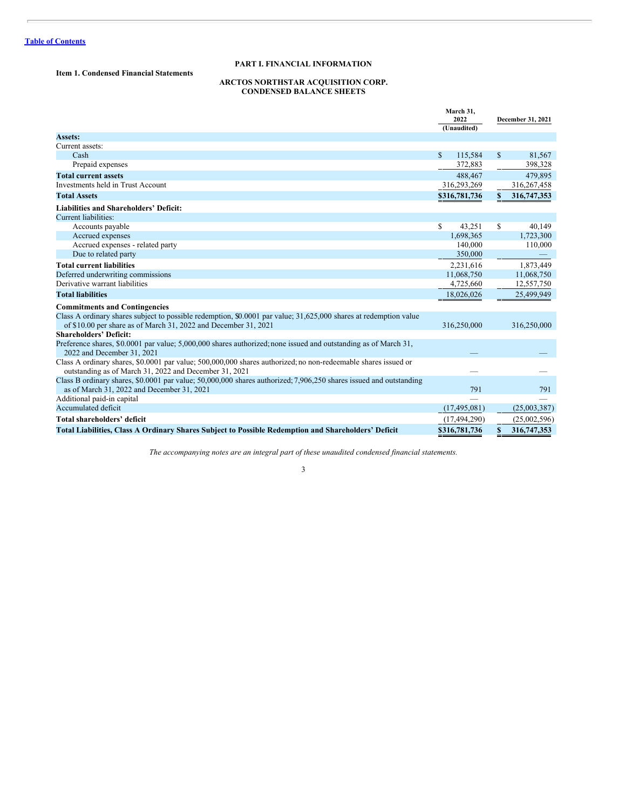<span id="page-3-1"></span><span id="page-3-0"></span>**Item 1. Condensed Financial Statements**

### **PART I. FINANCIAL INFORMATION**

### **ARCTOS NORTHSTAR ACQUISITION CORP. CONDENSED BALANCE SHEETS**

<span id="page-3-2"></span>

|                                                                                                                                                                                      | March 31,<br>2022<br>(Unaudited) |              | December 31, 2021 |
|--------------------------------------------------------------------------------------------------------------------------------------------------------------------------------------|----------------------------------|--------------|-------------------|
| Assets:                                                                                                                                                                              |                                  |              |                   |
| Current assets:                                                                                                                                                                      |                                  |              |                   |
| Cash                                                                                                                                                                                 | $\mathbf{s}$<br>115,584          | $\mathbb{S}$ | 81,567            |
| Prepaid expenses                                                                                                                                                                     | 372,883                          |              | 398,328           |
| <b>Total current assets</b>                                                                                                                                                          | 488,467                          |              | 479.895           |
| Investments held in Trust Account                                                                                                                                                    | 316,293,269                      |              | 316,267,458       |
| <b>Total Assets</b>                                                                                                                                                                  | \$316,781,736                    | \$           | 316,747,353       |
| <b>Liabilities and Shareholders' Deficit:</b>                                                                                                                                        |                                  |              |                   |
| Current liabilities:                                                                                                                                                                 |                                  |              |                   |
| Accounts payable                                                                                                                                                                     | S<br>43.251                      | S            | 40,149            |
| Accrued expenses                                                                                                                                                                     | 1,698,365                        |              | 1,723,300         |
| Accrued expenses - related party                                                                                                                                                     | 140,000                          |              | 110,000           |
| Due to related party                                                                                                                                                                 | 350,000                          |              |                   |
| <b>Total current liabilities</b>                                                                                                                                                     | 2,231,616                        |              | 1,873,449         |
| Deferred underwriting commissions                                                                                                                                                    | 11,068,750                       |              | 11,068,750        |
| Derivative warrant liabilities                                                                                                                                                       | 4,725,660                        |              | 12,557,750        |
| <b>Total liabilities</b>                                                                                                                                                             | 18,026,026                       |              | 25,499,949        |
| <b>Commitments and Contingencies</b>                                                                                                                                                 |                                  |              |                   |
| Class A ordinary shares subject to possible redemption, \$0,0001 par value; 31,625,000 shares at redemption value<br>of \$10.00 per share as of March 31, 2022 and December 31, 2021 | 316,250,000                      |              | 316,250,000       |
| <b>Shareholders' Deficit:</b>                                                                                                                                                        |                                  |              |                   |
| Preference shares, \$0.0001 par value; 5,000,000 shares authorized; none issued and outstanding as of March 31,<br>2022 and December 31, 2021                                        |                                  |              |                   |
| Class A ordinary shares, \$0.0001 par value; 500,000,000 shares authorized; no non-redeemable shares issued or<br>outstanding as of March 31, 2022 and December 31, 2021             |                                  |              |                   |
| Class B ordinary shares, \$0.0001 par value; 50,000,000 shares authorized; 7,906,250 shares issued and outstanding<br>as of March 31, 2022 and December 31, 2021                     | 791                              |              | 791               |
| Additional paid-in capital                                                                                                                                                           |                                  |              |                   |
| Accumulated deficit                                                                                                                                                                  | (17, 495, 081)                   |              | (25,003,387)      |
| Total shareholders' deficit                                                                                                                                                          | (17, 494, 290)                   |              | (25,002,596)      |
| Total Liabilities, Class A Ordinary Shares Subject to Possible Redemption and Shareholders' Deficit                                                                                  | \$316,781,736                    | S            | 316,747,353       |

*The accompanying notes are an integral part of these unaudited condensed financial statements.*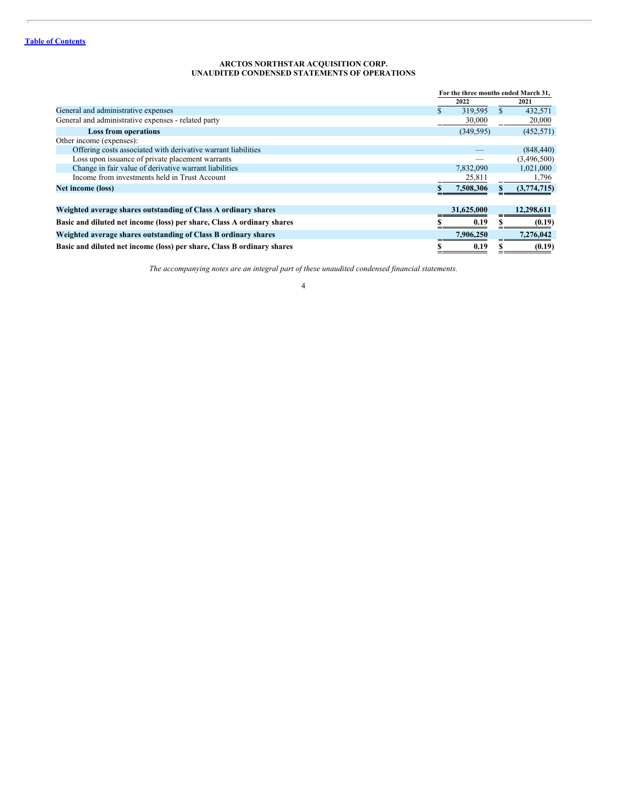### **ARCTOS NORTHSTAR ACQUISITION CORP. UNAUDITED CONDENSED STATEMENTS OF OPERATIONS**

<span id="page-4-0"></span>

|                                                                        | For the three months ended March 31, |            |  |             |
|------------------------------------------------------------------------|--------------------------------------|------------|--|-------------|
|                                                                        |                                      | 2022       |  | 2021        |
| General and administrative expenses                                    |                                      | 319,595    |  | 432,571     |
| General and administrative expenses - related party                    |                                      | 30,000     |  | 20,000      |
| <b>Loss from operations</b>                                            |                                      | (349, 595) |  | (452, 571)  |
| Other income (expenses):                                               |                                      |            |  |             |
| Offering costs associated with derivative warrant liabilities          |                                      |            |  | (848, 440)  |
| Loss upon issuance of private placement warrants                       |                                      |            |  | (3,496,500) |
| Change in fair value of derivative warrant liabilities                 |                                      | 7,832,090  |  | 1,021,000   |
| Income from investments held in Trust Account                          |                                      | 25,811     |  | 1,796       |
| Net income (loss)                                                      |                                      | 7,508,306  |  | (3,774,715) |
|                                                                        |                                      |            |  |             |
| Weighted average shares outstanding of Class A ordinary shares         |                                      | 31,625,000 |  | 12,298,611  |
| Basic and diluted net income (loss) per share, Class A ordinary shares |                                      | 0.19       |  | (0.19)      |
| Weighted average shares outstanding of Class B ordinary shares         |                                      | 7,906,250  |  | 7,276,042   |
| Basic and diluted net income (loss) per share, Class B ordinary shares |                                      | 0.19       |  | (0.19)      |

*The accompanying notes are an integral part of these unaudited condensed financial statements.*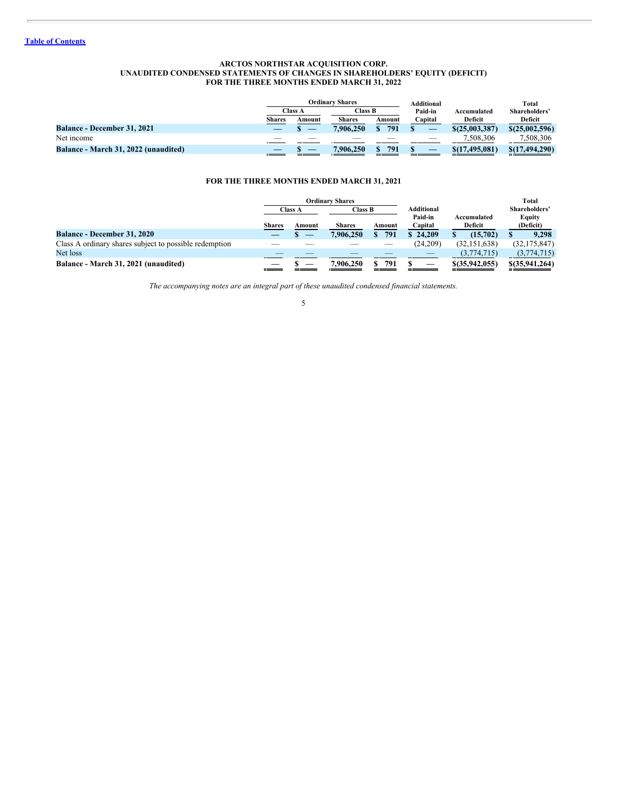#### **ARCTOS NORTHSTAR ACQUISITION CORP. UNAUDITED CONDENSED STATEMENTS OF CHANGES IN SHAREHOLDERS' EQUITY (DEFICIT) FOR THE THREE MONTHS ENDED MARCH 31, 2022**

<span id="page-5-0"></span>

|                                      | <b>Ordinary Shares</b> |                |               |        | Additional |                  | Total            |
|--------------------------------------|------------------------|----------------|---------------|--------|------------|------------------|------------------|
|                                      |                        | <b>Class A</b> | Class B       |        | Paid-in    | Accumulated      | Shareholders'    |
|                                      | <b>Shares</b>          | Amount         | <b>Shares</b> | Amount | Capital    | Deficit          | Deficit          |
| <b>Balance - December 31, 2021</b>   |                        |                | 7.906.250     | 791    |            | \$(25,003,387)   | \$(25,002,596)   |
| Net income                           |                        |                |               |        |            | 7,508,306        | 1.508.306        |
| Balance - March 31, 2022 (unaudited) |                        |                | 7,906,250     | 791    |            | \$(17, 495, 081) | \$(17, 494, 290) |

### **FOR THE THREE MONTHS ENDED MARCH 31, 2021**

|                                                        | <b>Ordinary Shares</b> |                |               |                |                    |                        | Total               |
|--------------------------------------------------------|------------------------|----------------|---------------|----------------|--------------------|------------------------|---------------------|
|                                                        |                        | <b>Class A</b> |               | <b>Class B</b> |                    |                        | Shareholders'       |
|                                                        | <b>Shares</b>          | Amount         | <b>Shares</b> | Amount         | Paid-in<br>Capital | Accumulated<br>Deficit | Equity<br>(Deficit) |
| <b>Balance - December 31, 2020</b>                     |                        |                | 7,906,250     | 791            | \$24.209           | (15.702)               | 9.298               |
| Class A ordinary shares subject to possible redemption |                        |                |               |                | (24.209)           | (32, 151, 638)         | (32, 175, 847)      |
| Net loss                                               |                        |                |               |                |                    | (3,774,715)            | (3,774,715)         |
| Balance - March 31, 2021 (unaudited)                   |                        |                | 7,906,250     | 791            |                    | $$$ (35,942,055)       | $$$ (35,941,264)    |

*The accompanying notes are an integral part of these unaudited condensed financial statements.*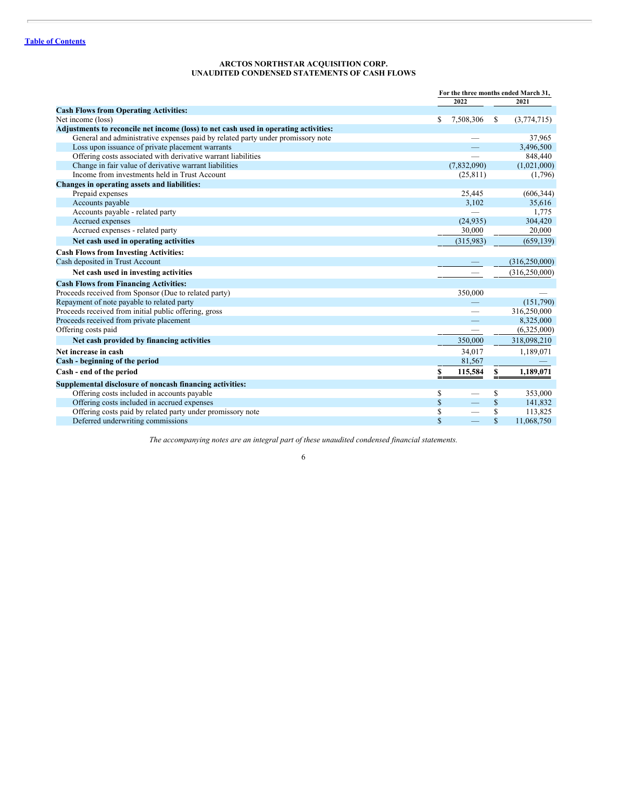#### **ARCTOS NORTHSTAR ACQUISITION CORP. UNAUDITED CONDENSED STATEMENTS OF CASH FLOWS**

<span id="page-6-0"></span>

|                                                                                      |    | For the three months ended March 31, |                         |                 |
|--------------------------------------------------------------------------------------|----|--------------------------------------|-------------------------|-----------------|
|                                                                                      |    | 2022                                 |                         | 2021            |
| <b>Cash Flows from Operating Activities:</b>                                         |    |                                      |                         |                 |
| Net income (loss)                                                                    | S  | 7,508,306                            | S                       | (3,774,715)     |
| Adjustments to reconcile net income (loss) to net cash used in operating activities: |    |                                      |                         |                 |
| General and administrative expenses paid by related party under promissory note      |    |                                      |                         | 37,965          |
| Loss upon issuance of private placement warrants                                     |    |                                      |                         | 3,496,500       |
| Offering costs associated with derivative warrant liabilities                        |    |                                      |                         | 848,440         |
| Change in fair value of derivative warrant liabilities                               |    | (7,832,090)                          |                         | (1,021,000)     |
| Income from investments held in Trust Account                                        |    | (25, 811)                            |                         | (1,796)         |
| Changes in operating assets and liabilities:                                         |    |                                      |                         |                 |
| Prepaid expenses                                                                     |    | 25,445                               |                         | (606, 344)      |
| Accounts payable                                                                     |    | 3,102                                |                         | 35,616          |
| Accounts payable - related party                                                     |    |                                      |                         | 1,775           |
| Accrued expenses                                                                     |    | (24, 935)                            |                         | 304,420         |
| Accrued expenses - related party                                                     |    | 30,000                               |                         | 20,000          |
| Net cash used in operating activities                                                |    | (315,983)                            |                         | (659, 139)      |
| <b>Cash Flows from Investing Activities:</b>                                         |    |                                      |                         |                 |
| Cash deposited in Trust Account                                                      |    |                                      |                         | (316, 250, 000) |
| Net cash used in investing activities                                                |    |                                      |                         | (316, 250, 000) |
| <b>Cash Flows from Financing Activities:</b>                                         |    |                                      |                         |                 |
| Proceeds received from Sponsor (Due to related party)                                |    | 350,000                              |                         |                 |
| Repayment of note payable to related party                                           |    |                                      |                         | (151,790)       |
| Proceeds received from initial public offering, gross                                |    |                                      |                         | 316,250,000     |
| Proceeds received from private placement                                             |    |                                      |                         | 8,325,000       |
| Offering costs paid                                                                  |    |                                      |                         | (6,325,000)     |
| Net cash provided by financing activities                                            |    | 350,000                              |                         | 318,098,210     |
| Net increase in cash                                                                 |    | 34,017                               |                         | 1,189,071       |
| Cash - beginning of the period                                                       |    | 81,567                               |                         |                 |
| Cash - end of the period                                                             | \$ | 115,584                              | $\overline{\mathbf{z}}$ | 1,189,071       |
| Supplemental disclosure of noncash financing activities:                             |    |                                      |                         |                 |
| Offering costs included in accounts payable                                          | \$ |                                      | \$                      | 353,000         |
| Offering costs included in accrued expenses                                          | \$ | $\qquad \qquad -$                    | \$                      | 141,832         |
| Offering costs paid by related party under promissory note                           | \$ |                                      | \$                      | 113,825         |
| Deferred underwriting commissions                                                    | \$ |                                      | \$                      | 11,068,750      |

*The accompanying notes are an integral part of these unaudited condensed financial statements.*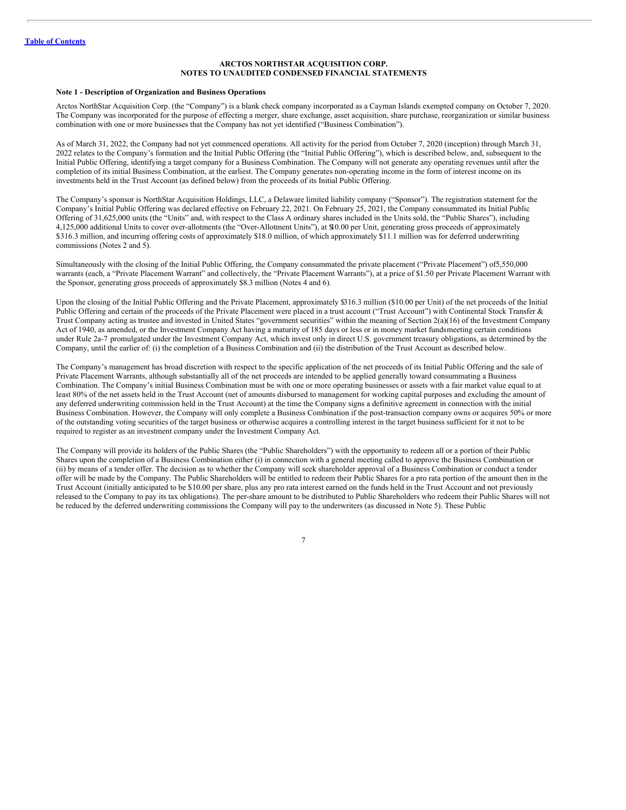### <span id="page-7-0"></span>**Note 1 - Description of Organization and Business Operations**

Arctos NorthStar Acquisition Corp. (the "Company") is a blank check company incorporated as a Cayman Islands exempted company on October 7, 2020. The Company was incorporated for the purpose of effecting a merger, share exchange, asset acquisition, share purchase, reorganization or similar business combination with one or more businesses that the Company has not yet identified ("Business Combination").

As of March 31, 2022, the Company had not yet commenced operations. All activity for the period from October 7, 2020 (inception) through March 31, 2022 relates to the Company's formation and the Initial Public Offering (the "Initial Public Offering"), which is described below, and, subsequent to the Initial Public Offering, identifying a target company for a Business Combination. The Company will not generate any operating revenues until after the completion of its initial Business Combination, at the earliest. The Company generates non-operating income in the form of interest income on its investments held in the Trust Account (as defined below) from the proceeds of its Initial Public Offering.

The Company's sponsor is NorthStar Acquisition Holdings, LLC, a Delaware limited liability company ("Sponsor"). The registration statement for the Company's Initial Public Offering was declared effective on February 22, 2021. On February 25, 2021, the Company consummated its Initial Public Offering of 31,625,000 units (the "Units" and, with respect to the Class A ordinary shares included in the Units sold, the "Public Shares"), including 4,125,000 additional Units to cover over-allotments (the "Over-Allotment Units"), at \$10.00 per Unit, generating gross proceeds of approximately \$316.3 million, and incurring offering costs of approximately \$18.0 million, of which approximately \$11.1 million was for deferred underwriting commissions (Notes 2 and 5).

Simultaneously with the closing of the Initial Public Offering, the Company consummated the private placement ("Private Placement") of5,550,000 warrants (each, a "Private Placement Warrant" and collectively, the "Private Placement Warrants"), at a price of \$1.50 per Private Placement Warrant with the Sponsor, generating gross proceeds of approximately \$8.3 million (Notes 4 and 6).

Upon the closing of the Initial Public Offering and the Private Placement, approximately \$316.3 million (\$10.00 per Unit) of the net proceeds of the Initial Public Offering and certain of the proceeds of the Private Placement were placed in a trust account ("Trust Account") with Continental Stock Transfer & Trust Company acting as trustee and invested in United States "government securities" within the meaning of Section 2(a)(16) of the Investment Company Act of 1940, as amended, or the Investment Company Act having a maturity of 185 days or less or in money market fundsmeeting certain conditions under Rule 2a-7 promulgated under the Investment Company Act, which invest only in direct U.S. government treasury obligations, as determined by the Company, until the earlier of: (i) the completion of a Business Combination and (ii) the distribution of the Trust Account as described below.

The Company's management has broad discretion with respect to the specific application of the net proceeds of its Initial Public Offering and the sale of Private Placement Warrants, although substantially all of the net proceeds are intended to be applied generally toward consummating a Business Combination. The Company's initial Business Combination must be with one or more operating businesses or assets with a fair market value equal to at least 80% of the net assets held in the Trust Account (net of amounts disbursed to management for working capital purposes and excluding the amount of any deferred underwriting commission held in the Trust Account) at the time the Company signs a definitive agreement in connection with the initial Business Combination. However, the Company will only complete a Business Combination if the post-transaction company owns or acquires 50% or more of the outstanding voting securities of the target business or otherwise acquires a controlling interest in the target business sufficient for it not to be required to register as an investment company under the Investment Company Act.

The Company will provide its holders of the Public Shares (the "Public Shareholders") with the opportunity to redeem all or a portion of their Public Shares upon the completion of a Business Combination either (i) in connection with a general meeting called to approve the Business Combination or (ii) by means of a tender offer. The decision as to whether the Company will seek shareholder approval of a Business Combination or conduct a tender offer will be made by the Company. The Public Shareholders will be entitled to redeem their Public Shares for a pro rata portion of the amount then in the Trust Account (initially anticipated to be \$10.00 per share, plus any pro rata interest earned on the funds held in the Trust Account and not previously released to the Company to pay its tax obligations). The per-share amount to be distributed to Public Shareholders who redeem their Public Shares will not be reduced by the deferred underwriting commissions the Company will pay to the underwriters (as discussed in Note 5). These Public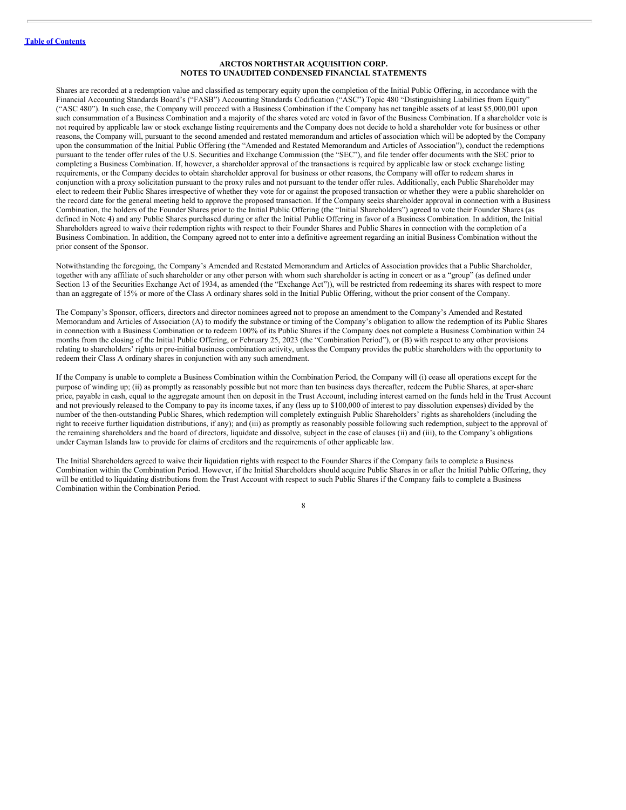Shares are recorded at a redemption value and classified as temporary equity upon the completion of the Initial Public Offering, in accordance with the Financial Accounting Standards Board's ("FASB") Accounting Standards Codification ("ASC") Topic 480 "Distinguishing Liabilities from Equity" ("ASC 480"). In such case, the Company will proceed with a Business Combination if the Company has net tangible assets of at least \$5,000,001 upon such consummation of a Business Combination and a majority of the shares voted are voted in favor of the Business Combination. If a shareholder vote is not required by applicable law or stock exchange listing requirements and the Company does not decide to hold a shareholder vote for business or other reasons, the Company will, pursuant to the second amended and restated memorandum and articles of association which will be adopted by the Company upon the consummation of the Initial Public Offering (the "Amended and Restated Memorandum and Articles of Association"), conduct the redemptions pursuant to the tender offer rules of the U.S. Securities and Exchange Commission (the "SEC"), and file tender offer documents with the SEC prior to completing a Business Combination. If, however, a shareholder approval of the transactions is required by applicable law or stock exchange listing requirements, or the Company decides to obtain shareholder approval for business or other reasons, the Company will offer to redeem shares in conjunction with a proxy solicitation pursuant to the proxy rules and not pursuant to the tender offer rules. Additionally, each Public Shareholder may elect to redeem their Public Shares irrespective of whether they vote for or against the proposed transaction or whether they were a public shareholder on the record date for the general meeting held to approve the proposed transaction. If the Company seeks shareholder approval in connection with a Business Combination, the holders of the Founder Shares prior to the Initial Public Offering (the "Initial Shareholders") agreed to vote their Founder Shares (as defined in Note 4) and any Public Shares purchased during or after the Initial Public Offering in favor of a Business Combination. In addition, the Initial Shareholders agreed to waive their redemption rights with respect to their Founder Shares and Public Shares in connection with the completion of a Business Combination. In addition, the Company agreed not to enter into a definitive agreement regarding an initial Business Combination without the prior consent of the Sponsor.

Notwithstanding the foregoing, the Company's Amended and Restated Memorandum and Articles of Association provides that a Public Shareholder, together with any affiliate of such shareholder or any other person with whom such shareholder is acting in concert or as a "group" (as defined under Section 13 of the Securities Exchange Act of 1934, as amended (the "Exchange Act")), will be restricted from redeeming its shares with respect to more than an aggregate of 15% or more of the Class A ordinary shares sold in the Initial Public Offering, without the prior consent of the Company.

The Company's Sponsor, officers, directors and director nominees agreed not to propose an amendment to the Company's Amended and Restated Memorandum and Articles of Association (A) to modify the substance or timing of the Company's obligation to allow the redemption of its Public Shares in connection with a Business Combination or to redeem 100% of its Public Shares if the Company does not complete a Business Combination within 24 months from the closing of the Initial Public Offering, or February 25, 2023 (the "Combination Period"), or (B) with respect to any other provisions relating to shareholders' rights or pre-initial business combination activity, unless the Company provides the public shareholders with the opportunity to redeem their Class A ordinary shares in conjunction with any such amendment.

If the Company is unable to complete a Business Combination within the Combination Period, the Company will (i) cease all operations except for the purpose of winding up; (ii) as promptly as reasonably possible but not more than ten business days thereafter, redeem the Public Shares, at aper-share price, payable in cash, equal to the aggregate amount then on deposit in the Trust Account, including interest earned on the funds held in the Trust Account and not previously released to the Company to pay its income taxes, if any (less up to \$100,000 of interest to pay dissolution expenses) divided by the number of the then-outstanding Public Shares, which redemption will completely extinguish Public Shareholders' rights as shareholders (including the right to receive further liquidation distributions, if any); and (iii) as promptly as reasonably possible following such redemption, subject to the approval of the remaining shareholders and the board of directors, liquidate and dissolve, subject in the case of clauses (ii) and (iii), to the Company's obligations under Cayman Islands law to provide for claims of creditors and the requirements of other applicable law.

The Initial Shareholders agreed to waive their liquidation rights with respect to the Founder Shares if the Company fails to complete a Business Combination within the Combination Period. However, if the Initial Shareholders should acquire Public Shares in or after the Initial Public Offering, they will be entitled to liquidating distributions from the Trust Account with respect to such Public Shares if the Company fails to complete a Business Combination within the Combination Period.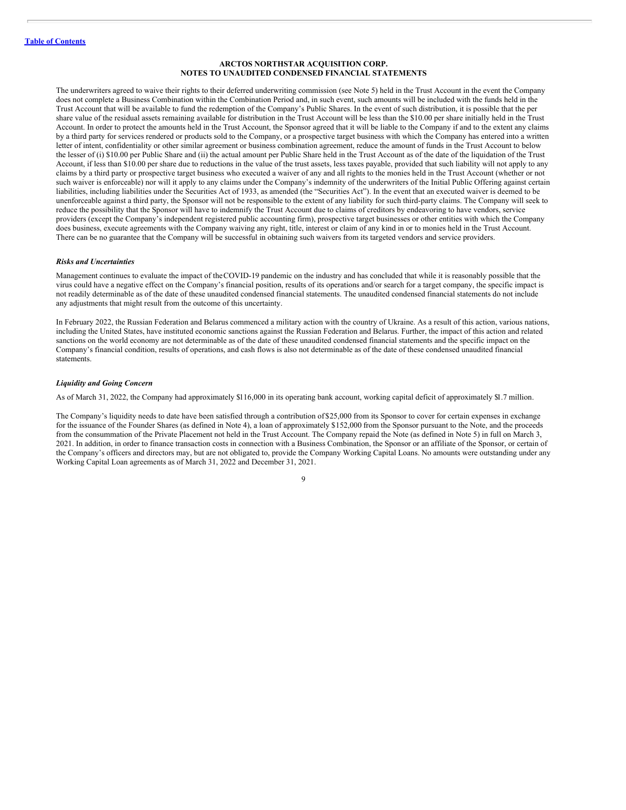The underwriters agreed to waive their rights to their deferred underwriting commission (see Note 5) held in the Trust Account in the event the Company does not complete a Business Combination within the Combination Period and, in such event, such amounts will be included with the funds held in the Trust Account that will be available to fund the redemption of the Company's Public Shares. In the event of such distribution, it is possible that the per share value of the residual assets remaining available for distribution in the Trust Account will be less than the \$10.00 per share initially held in the Trust Account. In order to protect the amounts held in the Trust Account, the Sponsor agreed that it will be liable to the Company if and to the extent any claims by a third party for services rendered or products sold to the Company, or a prospective target business with which the Company has entered into a written letter of intent, confidentiality or other similar agreement or business combination agreement, reduce the amount of funds in the Trust Account to below the lesser of (i) \$10.00 per Public Share and (ii) the actual amount per Public Share held in the Trust Account as of the date of the liquidation of the Trust Account, if less than \$10.00 per share due to reductions in the value of the trust assets, less taxes payable, provided that such liability will not apply to any claims by a third party or prospective target business who executed a waiver of any and all rights to the monies held in the Trust Account (whether or not such waiver is enforceable) nor will it apply to any claims under the Company's indemnity of the underwriters of the Initial Public Offering against certain liabilities, including liabilities under the Securities Act of 1933, as amended (the "Securities Act"). In the event that an executed waiver is deemed to be unenforceable against a third party, the Sponsor will not be responsible to the extent of any liability for such third-party claims. The Company will seek to reduce the possibility that the Sponsor will have to indemnify the Trust Account due to claims of creditors by endeavoring to have vendors, service providers (except the Company's independent registered public accounting firm), prospective target businesses or other entities with which the Company does business, execute agreements with the Company waiving any right, title, interest or claim of any kind in or to monies held in the Trust Account. There can be no guarantee that the Company will be successful in obtaining such waivers from its targeted vendors and service providers.

#### *Risks and Uncertainties*

Management continues to evaluate the impact of theCOVID-19 pandemic on the industry and has concluded that while it is reasonably possible that the virus could have a negative effect on the Company's financial position, results of its operations and/or search for a target company, the specific impact is not readily determinable as of the date of these unaudited condensed financial statements. The unaudited condensed financial statements do not include any adjustments that might result from the outcome of this uncertainty.

In February 2022, the Russian Federation and Belarus commenced a military action with the country of Ukraine. As a result of this action, various nations, including the United States, have instituted economic sanctions against the Russian Federation and Belarus. Further, the impact of this action and related sanctions on the world economy are not determinable as of the date of these unaudited condensed financial statements and the specific impact on the Company's financial condition, results of operations, and cash flows is also not determinable as of the date of these condensed unaudited financial statements.

#### *Liquidity and Going Concern*

As of March 31, 2022, the Company had approximately \$116,000 in its operating bank account, working capital deficit of approximately \$1.7 million.

The Company's liquidity needs to date have been satisfied through a contribution of \$25,000 from its Sponsor to cover for certain expenses in exchange for the issuance of the Founder Shares (as defined in Note 4), a loan of approximately \$152,000 from the Sponsor pursuant to the Note, and the proceeds from the consummation of the Private Placement not held in the Trust Account. The Company repaid the Note (as defined in Note 5) in full on March 3, 2021. In addition, in order to finance transaction costs in connection with a Business Combination, the Sponsor or an affiliate of the Sponsor, or certain of the Company's officers and directors may, but are not obligated to, provide the Company Working Capital Loans. No amounts were outstanding under any Working Capital Loan agreements as of March 31, 2022 and December 31, 2021.

 $\alpha$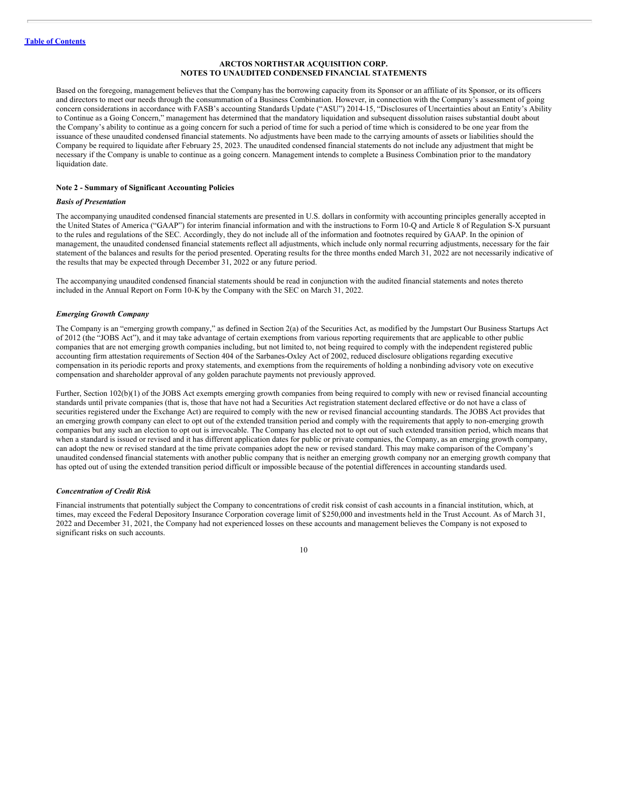Based on the foregoing, management believes that the Company has the borrowing capacity from its Sponsor or an affiliate of its Sponsor, or its officers and directors to meet our needs through the consummation of a Business Combination. However, in connection with the Company's assessment of going concern considerations in accordance with FASB's accounting Standards Update ("ASU") 2014-15, "Disclosures of Uncertainties about an Entity's Ability to Continue as a Going Concern," management has determined that the mandatory liquidation and subsequent dissolution raises substantial doubt about the Company's ability to continue as a going concern for such a period of time for such a period of time which is considered to be one year from the issuance of these unaudited condensed financial statements. No adjustments have been made to the carrying amounts of assets or liabilities should the Company be required to liquidate after February 25, 2023. The unaudited condensed financial statements do not include any adjustment that might be necessary if the Company is unable to continue as a going concern. Management intends to complete a Business Combination prior to the mandatory liquidation date.

#### **Note 2 - Summary of Significant Accounting Policies**

#### *Basis of Presentation*

The accompanying unaudited condensed financial statements are presented in U.S. dollars in conformity with accounting principles generally accepted in the United States of America ("GAAP") for interim financial information and with the instructions to Form 10-Q and Article 8 of Regulation S-X pursuant to the rules and regulations of the SEC. Accordingly, they do not include all of the information and footnotes required by GAAP. In the opinion of management, the unaudited condensed financial statements reflect all adjustments, which include only normal recurring adjustments, necessary for the fair statement of the balances and results for the period presented. Operating results for the three months ended March 31, 2022 are not necessarily indicative of the results that may be expected through December 31, 2022 or any future period.

The accompanying unaudited condensed financial statements should be read in conjunction with the audited financial statements and notes thereto included in the Annual Report on Form 10-K by the Company with the SEC on March 31, 2022.

### *Emerging Growth Company*

The Company is an "emerging growth company," as defined in Section 2(a) of the Securities Act, as modified by the Jumpstart Our Business Startups Act of 2012 (the "JOBS Act"), and it may take advantage of certain exemptions from various reporting requirements that are applicable to other public companies that are not emerging growth companies including, but not limited to, not being required to comply with the independent registered public accounting firm attestation requirements of Section 404 of the Sarbanes-Oxley Act of 2002, reduced disclosure obligations regarding executive compensation in its periodic reports and proxy statements, and exemptions from the requirements of holding a nonbinding advisory vote on executive compensation and shareholder approval of any golden parachute payments not previously approved.

Further, Section 102(b)(1) of the JOBS Act exempts emerging growth companies from being required to comply with new or revised financial accounting standards until private companies (that is, those that have not had a Securities Act registration statement declared effective or do not have a class of securities registered under the Exchange Act) are required to comply with the new or revised financial accounting standards. The JOBS Act provides that an emerging growth company can elect to opt out of the extended transition period and comply with the requirements that apply to non-emerging growth companies but any such an election to opt out is irrevocable. The Company has elected not to opt out of such extended transition period, which means that when a standard is issued or revised and it has different application dates for public or private companies, the Company, as an emerging growth company, can adopt the new or revised standard at the time private companies adopt the new or revised standard. This may make comparison of the Company's unaudited condensed financial statements with another public company that is neither an emerging growth company nor an emerging growth company that has opted out of using the extended transition period difficult or impossible because of the potential differences in accounting standards used.

### *Concentration of Credit Risk*

Financial instruments that potentially subject the Company to concentrations of credit risk consist of cash accounts in a financial institution, which, at times, may exceed the Federal Depository Insurance Corporation coverage limit of \$250,000 and investments held in the Trust Account. As of March 31, 2022 and December 31, 2021, the Company had not experienced losses on these accounts and management believes the Company is not exposed to significant risks on such accounts.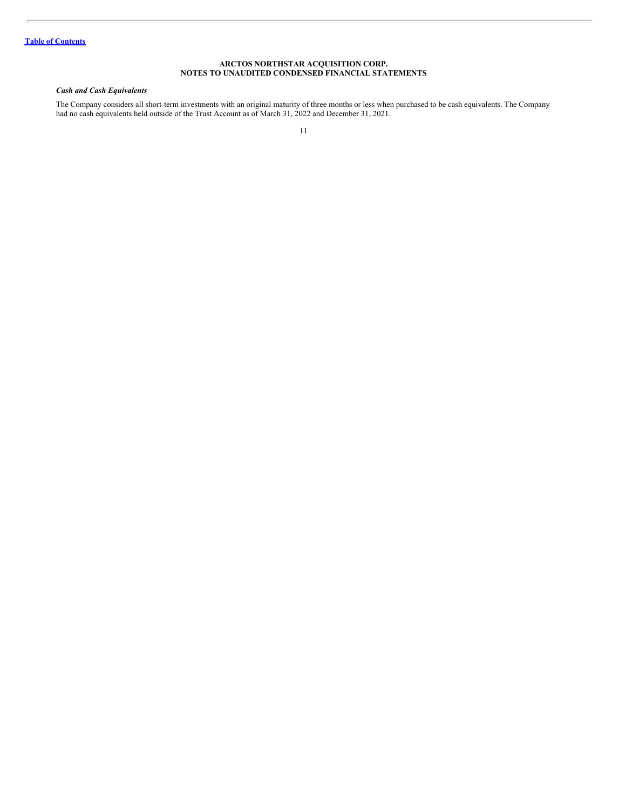### *Cash and Cash Equivalents*

The Company considers all short-term investments with an original maturity of three months or less when purchased to be cash equivalents. The Company had no cash equivalents held outside of the Trust Account as of March 31, 2022 and December 31, 2021.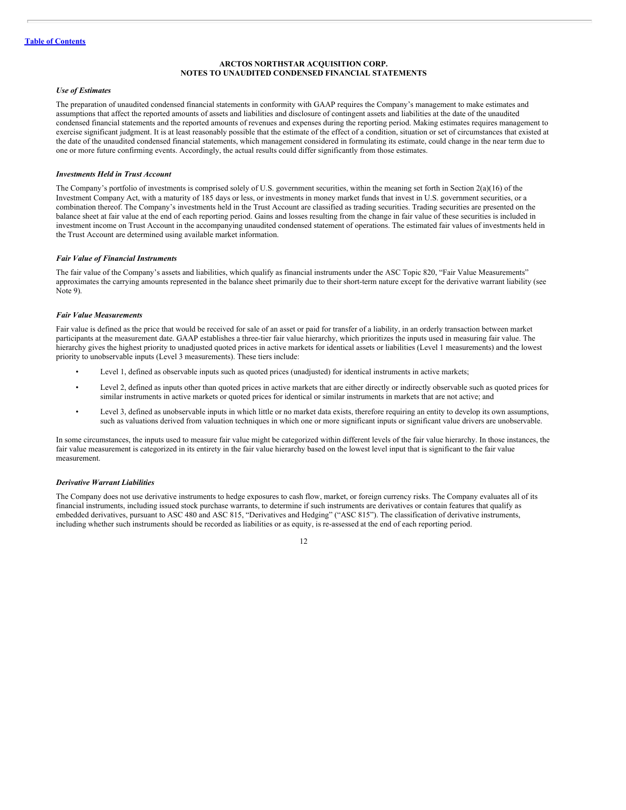#### *Use of Estimates*

The preparation of unaudited condensed financial statements in conformity with GAAP requires the Company's management to make estimates and assumptions that affect the reported amounts of assets and liabilities and disclosure of contingent assets and liabilities at the date of the unaudited condensed financial statements and the reported amounts of revenues and expenses during the reporting period. Making estimates requires management to exercise significant judgment. It is at least reasonably possible that the estimate of the effect of a condition, situation or set of circumstances that existed at the date of the unaudited condensed financial statements, which management considered in formulating its estimate, could change in the near term due to one or more future confirming events. Accordingly, the actual results could differ significantly from those estimates.

#### *Investments Held in Trust Account*

The Company's portfolio of investments is comprised solely of U.S. government securities, within the meaning set forth in Section 2(a)(16) of the Investment Company Act, with a maturity of 185 days or less, or investments in money market funds that invest in U.S. government securities, or a combination thereof. The Company's investments held in the Trust Account are classified as trading securities. Trading securities are presented on the balance sheet at fair value at the end of each reporting period. Gains and losses resulting from the change in fair value of these securities is included in investment income on Trust Account in the accompanying unaudited condensed statement of operations. The estimated fair values of investments held in the Trust Account are determined using available market information.

#### *Fair Value of Financial Instruments*

The fair value of the Company's assets and liabilities, which qualify as financial instruments under the ASC Topic 820, "Fair Value Measurements" approximates the carrying amounts represented in the balance sheet primarily due to their short-term nature except for the derivative warrant liability (see Note 9).

#### *Fair Value Measurements*

Fair value is defined as the price that would be received for sale of an asset or paid for transfer of a liability, in an orderly transaction between market participants at the measurement date. GAAP establishes a three-tier fair value hierarchy, which prioritizes the inputs used in measuring fair value. The hierarchy gives the highest priority to unadjusted quoted prices in active markets for identical assets or liabilities (Level 1 measurements) and the lowest priority to unobservable inputs (Level 3 measurements). These tiers include:

- Level 1, defined as observable inputs such as quoted prices (unadjusted) for identical instruments in active markets;
- Level 2, defined as inputs other than quoted prices in active markets that are either directly or indirectly observable such as quoted prices for similar instruments in active markets or quoted prices for identical or similar instruments in markets that are not active; and
- Level 3, defined as unobservable inputs in which little or no market data exists, therefore requiring an entity to develop its own assumptions, such as valuations derived from valuation techniques in which one or more significant inputs or significant value drivers are unobservable.

In some circumstances, the inputs used to measure fair value might be categorized within different levels of the fair value hierarchy. In those instances, the fair value measurement is categorized in its entirety in the fair value hierarchy based on the lowest level input that is significant to the fair value measurement.

#### *Derivative Warrant Liabilities*

The Company does not use derivative instruments to hedge exposures to cash flow, market, or foreign currency risks. The Company evaluates all of its financial instruments, including issued stock purchase warrants, to determine if such instruments are derivatives or contain features that qualify as embedded derivatives, pursuant to ASC 480 and ASC 815, "Derivatives and Hedging" ("ASC 815"). The classification of derivative instruments, including whether such instruments should be recorded as liabilities or as equity, is re-assessed at the end of each reporting period.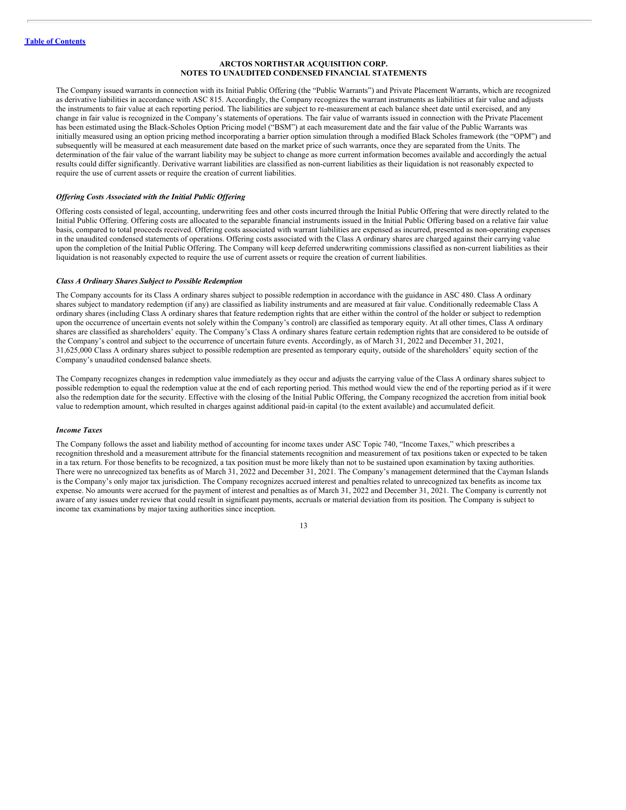The Company issued warrants in connection with its Initial Public Offering (the "Public Warrants") and Private Placement Warrants, which are recognized as derivative liabilities in accordance with ASC 815. Accordingly, the Company recognizes the warrant instruments as liabilities at fair value and adjusts the instruments to fair value at each reporting period. The liabilities are subject to re-measurement at each balance sheet date until exercised, and any change in fair value is recognized in the Company's statements of operations. The fair value of warrants issued in connection with the Private Placement has been estimated using the Black-Scholes Option Pricing model ("BSM") at each measurement date and the fair value of the Public Warrants was initially measured using an option pricing method incorporating a barrier option simulation through a modified Black Scholes framework (the "OPM") and subsequently will be measured at each measurement date based on the market price of such warrants, once they are separated from the Units. The determination of the fair value of the warrant liability may be subject to change as more current information becomes available and accordingly the actual results could differ significantly. Derivative warrant liabilities are classified as non-current liabilities as their liquidation is not reasonably expected to require the use of current assets or require the creation of current liabilities.

### *Of ering Costs Associated with the Initial Public Of ering*

Offering costs consisted of legal, accounting, underwriting fees and other costs incurred through the Initial Public Offering that were directly related to the Initial Public Offering. Offering costs are allocated to the separable financial instruments issued in the Initial Public Offering based on a relative fair value basis, compared to total proceeds received. Offering costs associated with warrant liabilities are expensed as incurred, presented as non-operating expenses in the unaudited condensed statements of operations. Offering costs associated with the Class A ordinary shares are charged against their carrying value upon the completion of the Initial Public Offering. The Company will keep deferred underwriting commissions classified as non-current liabilities as their liquidation is not reasonably expected to require the use of current assets or require the creation of current liabilities.

#### *Class A Ordinary Shares Subject to Possible Redemption*

The Company accounts for its Class A ordinary shares subject to possible redemption in accordance with the guidance in ASC 480. Class A ordinary shares subject to mandatory redemption (if any) are classified as liability instruments and are measured at fair value. Conditionally redeemable Class A ordinary shares (including Class A ordinary shares that feature redemption rights that are either within the control of the holder or subject to redemption upon the occurrence of uncertain events not solely within the Company's control) are classified as temporary equity. At all other times, Class A ordinary shares are classified as shareholders' equity. The Company's Class A ordinary shares feature certain redemption rights that are considered to be outside of the Company's control and subject to the occurrence of uncertain future events. Accordingly, as of March 31, 2022 and December 31, 2021, 31,625,000 Class A ordinary shares subject to possible redemption are presented as temporary equity, outside of the shareholders' equity section of the Company's unaudited condensed balance sheets.

The Company recognizes changes in redemption value immediately as they occur and adjusts the carrying value of the Class A ordinary shares subject to possible redemption to equal the redemption value at the end of each reporting period. This method would view the end of the reporting period as if it were also the redemption date for the security. Effective with the closing of the Initial Public Offering, the Company recognized the accretion from initial book value to redemption amount, which resulted in charges against additional paid-in capital (to the extent available) and accumulated deficit.

#### *Income Taxes*

The Company follows the asset and liability method of accounting for income taxes under ASC Topic 740, "Income Taxes," which prescribes a recognition threshold and a measurement attribute for the financial statements recognition and measurement of tax positions taken or expected to be taken in a tax return. For those benefits to be recognized, a tax position must be more likely than not to be sustained upon examination by taxing authorities. There were no unrecognized tax benefits as of March 31, 2022 and December 31, 2021. The Company's management determined that the Cayman Islands is the Company's only major tax jurisdiction. The Company recognizes accrued interest and penalties related to unrecognized tax benefits as income tax expense. No amounts were accrued for the payment of interest and penalties as of March 31, 2022 and December 31, 2021. The Company is currently not aware of any issues under review that could result in significant payments, accruals or material deviation from its position. The Company is subject to income tax examinations by major taxing authorities since inception.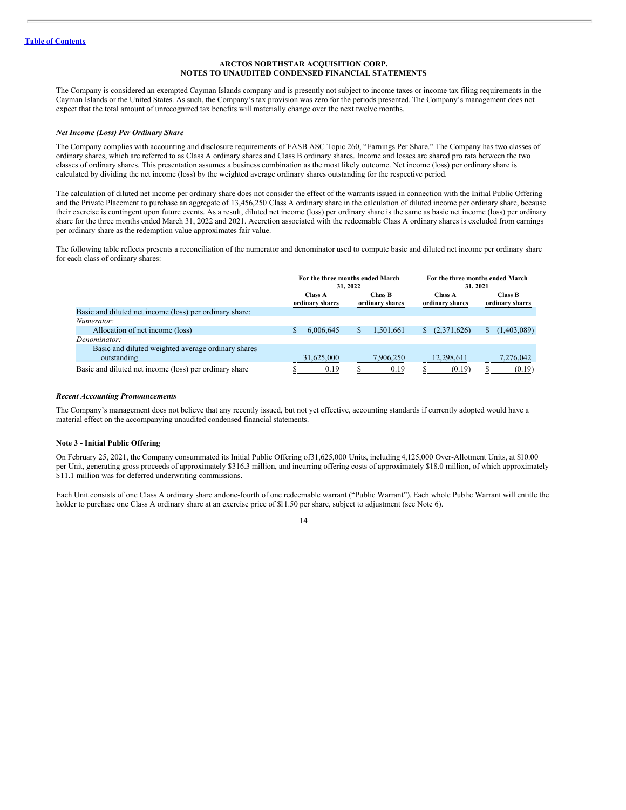The Company is considered an exempted Cayman Islands company and is presently not subject to income taxes or income tax filing requirements in the Cayman Islands or the United States. As such, the Company's tax provision was zero for the periods presented. The Company's management does not expect that the total amount of unrecognized tax benefits will materially change over the next twelve months.

#### *Net Income (Loss) Per Ordinary Share*

The Company complies with accounting and disclosure requirements of FASB ASC Topic 260, "Earnings Per Share." The Company has two classes of ordinary shares, which are referred to as Class A ordinary shares and Class B ordinary shares. Income and losses are shared pro rata between the two classes of ordinary shares. This presentation assumes a business combination as the most likely outcome. Net income (loss) per ordinary share is calculated by dividing the net income (loss) by the weighted average ordinary shares outstanding for the respective period.

The calculation of diluted net income per ordinary share does not consider the effect of the warrants issued in connection with the Initial Public Offering and the Private Placement to purchase an aggregate of 13,456,250 Class A ordinary share in the calculation of diluted income per ordinary share, because their exercise is contingent upon future events. As a result, diluted net income (loss) per ordinary share is the same as basic net income (loss) per ordinary share for the three months ended March 31, 2022 and 2021. Accretion associated with the redeemable Class A ordinary shares is excluded from earnings per ordinary share as the redemption value approximates fair value.

The following table reflects presents a reconciliation of the numerator and denominator used to compute basic and diluted net income per ordinary share for each class of ordinary shares:

|                                                         | For the three months ended March<br>31, 2022 |                                   |    | For the three months ended March<br>31, 2021 |    |                            |  |                                   |
|---------------------------------------------------------|----------------------------------------------|-----------------------------------|----|----------------------------------------------|----|----------------------------|--|-----------------------------------|
|                                                         |                                              | <b>Class A</b><br>ordinary shares |    | <b>Class B</b><br>ordinary shares            |    | Class A<br>ordinary shares |  | <b>Class B</b><br>ordinary shares |
| Basic and diluted net income (loss) per ordinary share: |                                              |                                   |    |                                              |    |                            |  |                                   |
| Numerator:                                              |                                              |                                   |    |                                              |    |                            |  |                                   |
| Allocation of net income (loss)                         |                                              | 6,006,645                         | S. | 1.501.661                                    | S. | (2,371,626)                |  | (1, 403, 089)                     |
| Denominator:                                            |                                              |                                   |    |                                              |    |                            |  |                                   |
| Basic and diluted weighted average ordinary shares      |                                              |                                   |    |                                              |    |                            |  |                                   |
| outstanding                                             |                                              | 31,625,000                        |    | 7,906,250                                    |    | 12.298.611                 |  | 7,276,042                         |
| Basic and diluted net income (loss) per ordinary share  |                                              | 0.19                              |    | 0.19                                         |    | (0.19)                     |  | (0.19)                            |

#### *Recent Accounting Pronouncements*

The Company's management does not believe that any recently issued, but not yet effective, accounting standards if currently adopted would have a material effect on the accompanying unaudited condensed financial statements.

### **Note 3 - Initial Public Offering**

On February 25, 2021, the Company consummated its Initial Public Offering of31,625,000 Units, including 4,125,000 Over-Allotment Units, at \$10.00 per Unit, generating gross proceeds of approximately \$316.3 million, and incurring offering costs of approximately \$18.0 million, of which approximately \$11.1 million was for deferred underwriting commissions.

Each Unit consists of one Class A ordinary share andone-fourth of one redeemable warrant ("Public Warrant"). Each whole Public Warrant will entitle the holder to purchase one Class A ordinary share at an exercise price of \$11.50 per share, subject to adjustment (see Note 6).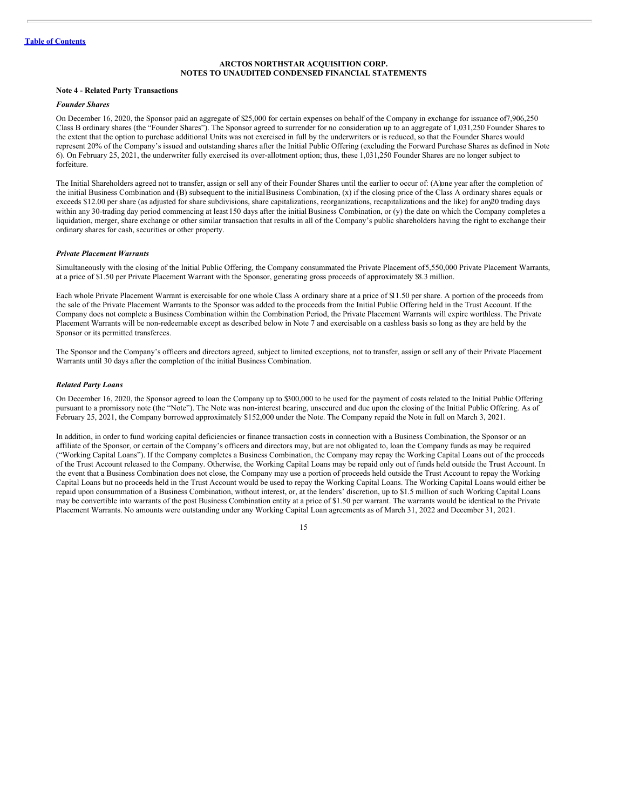### **Note 4 - Related Party Transactions**

#### *Founder Shares*

On December 16, 2020, the Sponsor paid an aggregate of \$25,000 for certain expenses on behalf of the Company in exchange for issuance of7,906,250 Class B ordinary shares (the "Founder Shares"). The Sponsor agreed to surrender for no consideration up to an aggregate of 1,031,250 Founder Shares to the extent that the option to purchase additional Units was not exercised in full by the underwriters or is reduced, so that the Founder Shares would represent 20% of the Company's issued and outstanding shares after the Initial Public Offering (excluding the Forward Purchase Shares as defined in Note 6). On February 25, 2021, the underwriter fully exercised its over-allotment option; thus, these 1,031,250 Founder Shares are no longer subject to forfeiture.

The Initial Shareholders agreed not to transfer, assign or sell any of their Founder Shares until the earlier to occur of: (A)one year after the completion of the initial Business Combination and (B) subsequent to the initialBusiness Combination, (x) if the closing price of the Class A ordinary shares equals or exceeds \$12.00 per share (as adjusted for share subdivisions, share capitalizations, reorganizations, recapitalizations and the like) for any20 trading days within any 30-trading day period commencing at least 150 days after the initial Business Combination, or (y) the date on which the Company completes a liquidation, merger, share exchange or other similar transaction that results in all of the Company's public shareholders having the right to exchange their ordinary shares for cash, securities or other property.

#### *Private Placement Warrants*

Simultaneously with the closing of the Initial Public Offering, the Company consummated the Private Placement of5,550,000 Private Placement Warrants, at a price of \$1.50 per Private Placement Warrant with the Sponsor, generating gross proceeds of approximately \$8.3 million.

Each whole Private Placement Warrant is exercisable for one whole Class A ordinary share at a price of \$11.50 per share. A portion of the proceeds from the sale of the Private Placement Warrants to the Sponsor was added to the proceeds from the Initial Public Offering held in the Trust Account. If the Company does not complete a Business Combination within the Combination Period, the Private Placement Warrants will expire worthless. The Private Placement Warrants will be non-redeemable except as described below in Note 7 and exercisable on a cashless basis so long as they are held by the Sponsor or its permitted transferees.

The Sponsor and the Company's officers and directors agreed, subject to limited exceptions, not to transfer, assign or sell any of their Private Placement Warrants until 30 days after the completion of the initial Business Combination.

#### *Related Party Loans*

On December 16, 2020, the Sponsor agreed to loan the Company up to \$300,000 to be used for the payment of costs related to the Initial Public Offering pursuant to a promissory note (the "Note"). The Note was non-interest bearing, unsecured and due upon the closing of the Initial Public Offering. As of February 25, 2021, the Company borrowed approximately \$152,000 under the Note. The Company repaid the Note in full on March 3, 2021.

In addition, in order to fund working capital deficiencies or finance transaction costs in connection with a Business Combination, the Sponsor or an affiliate of the Sponsor, or certain of the Company's officers and directors may, but are not obligated to, loan the Company funds as may be required ("Working Capital Loans"). If the Company completes a Business Combination, the Company may repay the Working Capital Loans out of the proceeds of the Trust Account released to the Company. Otherwise, the Working Capital Loans may be repaid only out of funds held outside the Trust Account. In the event that a Business Combination does not close, the Company may use a portion of proceeds held outside the Trust Account to repay the Working Capital Loans but no proceeds held in the Trust Account would be used to repay the Working Capital Loans. The Working Capital Loans would either be repaid upon consummation of a Business Combination, without interest, or, at the lenders' discretion, up to \$1.5 million of such Working Capital Loans may be convertible into warrants of the post Business Combination entity at a price of \$1.50 per warrant. The warrants would be identical to the Private Placement Warrants. No amounts were outstanding under any Working Capital Loan agreements as of March 31, 2022 and December 31, 2021.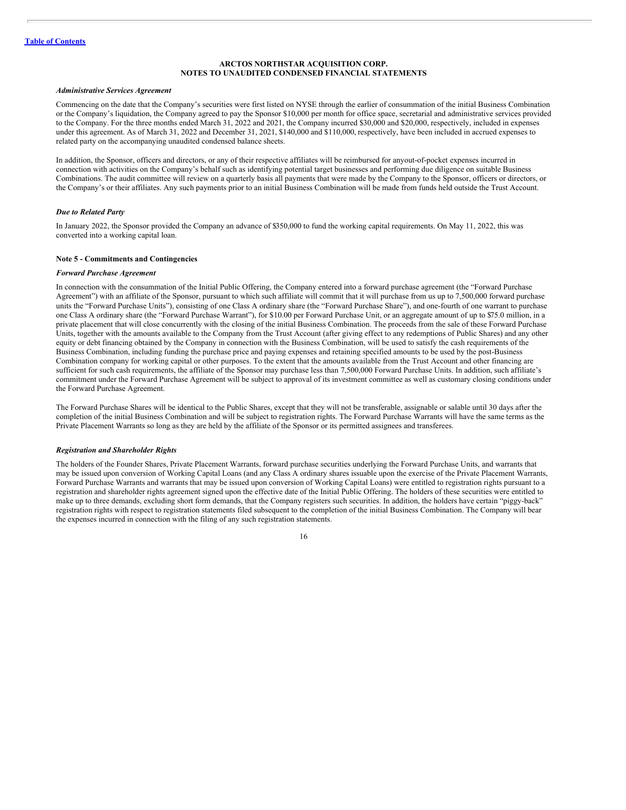#### *Administrative Services Agreement*

Commencing on the date that the Company's securities were first listed on NYSE through the earlier of consummation of the initial Business Combination or the Company's liquidation, the Company agreed to pay the Sponsor \$10,000 per month for office space, secretarial and administrative services provided to the Company. For the three months ended March 31, 2022 and 2021, the Company incurred \$30,000 and \$20,000, respectively, included in expenses under this agreement. As of March 31, 2022 and December 31, 2021, \$140,000 and \$110,000, respectively, have been included in accrued expenses to related party on the accompanying unaudited condensed balance sheets.

In addition, the Sponsor, officers and directors, or any of their respective affiliates will be reimbursed for anyout-of-pocket expenses incurred in connection with activities on the Company's behalf such as identifying potential target businesses and performing due diligence on suitable Business Combinations. The audit committee will review on a quarterly basis all payments that were made by the Company to the Sponsor, officers or directors, or the Company's or their affiliates. Any such payments prior to an initial Business Combination will be made from funds held outside the Trust Account.

#### *Due to Related Party*

In January 2022, the Sponsor provided the Company an advance of \$350,000 to fund the working capital requirements. On May 11, 2022, this was converted into a working capital loan.

#### **Note 5 - Commitments and Contingencies**

#### *Forward Purchase Agreement*

In connection with the consummation of the Initial Public Offering, the Company entered into a forward purchase agreement (the "Forward Purchase Agreement") with an affiliate of the Sponsor, pursuant to which such affiliate will commit that it will purchase from us up to 7,500,000 forward purchase units the "Forward Purchase Units"), consisting of one Class A ordinary share (the "Forward Purchase Share"), and one-fourth of one warrant to purchase one Class A ordinary share (the "Forward Purchase Warrant"), for \$10.00 per Forward Purchase Unit, or an aggregate amount of up to \$75.0 million, in a private placement that will close concurrently with the closing of the initial Business Combination. The proceeds from the sale of these Forward Purchase Units, together with the amounts available to the Company from the Trust Account (after giving effect to any redemptions of Public Shares) and any other equity or debt financing obtained by the Company in connection with the Business Combination, will be used to satisfy the cash requirements of the Business Combination, including funding the purchase price and paying expenses and retaining specified amounts to be used by the post-Business Combination company for working capital or other purposes. To the extent that the amounts available from the Trust Account and other financing are sufficient for such cash requirements, the affiliate of the Sponsor may purchase less than 7,500,000 Forward Purchase Units. In addition, such affiliate's commitment under the Forward Purchase Agreement will be subject to approval of its investment committee as well as customary closing conditions under the Forward Purchase Agreement.

The Forward Purchase Shares will be identical to the Public Shares, except that they will not be transferable, assignable or salable until 30 days after the completion of the initial Business Combination and will be subject to registration rights. The Forward Purchase Warrants will have the same terms as the Private Placement Warrants so long as they are held by the affiliate of the Sponsor or its permitted assignees and transferees.

#### *Registration and Shareholder Rights*

The holders of the Founder Shares, Private Placement Warrants, forward purchase securities underlying the Forward Purchase Units, and warrants that may be issued upon conversion of Working Capital Loans (and any Class A ordinary shares issuable upon the exercise of the Private Placement Warrants, Forward Purchase Warrants and warrants that may be issued upon conversion of Working Capital Loans) were entitled to registration rights pursuant to a registration and shareholder rights agreement signed upon the effective date of the Initial Public Offering. The holders of these securities were entitled to make up to three demands, excluding short form demands, that the Company registers such securities. In addition, the holders have certain "piggy-back" registration rights with respect to registration statements filed subsequent to the completion of the initial Business Combination. The Company will bear the expenses incurred in connection with the filing of any such registration statements.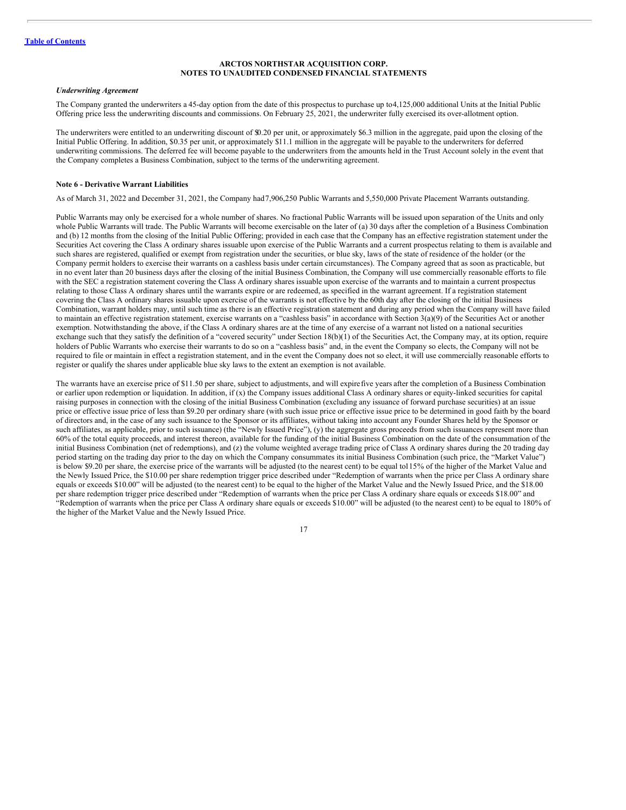#### *Underwriting Agreement*

The Company granted the underwriters a 45-day option from the date of this prospectus to purchase up to4,125,000 additional Units at the Initial Public Offering price less the underwriting discounts and commissions. On February 25, 2021, the underwriter fully exercised its over-allotment option.

The underwriters were entitled to an underwriting discount of \$0.20 per unit, or approximately \$6.3 million in the aggregate, paid upon the closing of the Initial Public Offering. In addition, \$0.35 per unit, or approximately \$11.1 million in the aggregate will be payable to the underwriters for deferred underwriting commissions. The deferred fee will become payable to the underwriters from the amounts held in the Trust Account solely in the event that the Company completes a Business Combination, subject to the terms of the underwriting agreement.

### **Note 6 - Derivative Warrant Liabilities**

As of March 31, 2022 and December 31, 2021, the Company had7,906,250 Public Warrants and 5,550,000 Private Placement Warrants outstanding.

Public Warrants may only be exercised for a whole number of shares. No fractional Public Warrants will be issued upon separation of the Units and only whole Public Warrants will trade. The Public Warrants will become exercisable on the later of (a) 30 days after the completion of a Business Combination and (b) 12 months from the closing of the Initial Public Offering; provided in each case that the Company has an effective registration statement under the Securities Act covering the Class A ordinary shares issuable upon exercise of the Public Warrants and a current prospectus relating to them is available and such shares are registered, qualified or exempt from registration under the securities, or blue sky, laws of the state of residence of the holder (or the Company permit holders to exercise their warrants on a cashless basis under certain circumstances). The Company agreed that as soon as practicable, but in no event later than 20 business days after the closing of the initial Business Combination, the Company will use commercially reasonable efforts to file with the SEC a registration statement covering the Class A ordinary shares issuable upon exercise of the warrants and to maintain a current prospectus relating to those Class A ordinary shares until the warrants expire or are redeemed, as specified in the warrant agreement. If a registration statement covering the Class A ordinary shares issuable upon exercise of the warrants is not effective by the 60th day after the closing of the initial Business Combination, warrant holders may, until such time as there is an effective registration statement and during any period when the Company will have failed to maintain an effective registration statement, exercise warrants on a "cashless basis" in accordance with Section  $3(a)(9)$  of the Securities Act or another exemption. Notwithstanding the above, if the Class A ordinary shares are at the time of any exercise of a warrant not listed on a national securities exchange such that they satisfy the definition of a "covered security" under Section 18(b)(1) of the Securities Act, the Company may, at its option, require holders of Public Warrants who exercise their warrants to do so on a "cashless basis" and, in the event the Company so elects, the Company will not be required to file or maintain in effect a registration statement, and in the event the Company does not so elect, it will use commercially reasonable efforts to register or qualify the shares under applicable blue sky laws to the extent an exemption is not available.

The warrants have an exercise price of \$11.50 per share, subject to adjustments, and will expirefive years after the completion of a Business Combination or earlier upon redemption or liquidation. In addition, if (x) the Company issues additional Class A ordinary shares or equity-linked securities for capital raising purposes in connection with the closing of the initial Business Combination (excluding any issuance of forward purchase securities) at an issue price or effective issue price of less than \$9.20 per ordinary share (with such issue price or effective issue price to be determined in good faith by the board of directors and, in the case of any such issuance to the Sponsor or its affiliates, without taking into account any Founder Shares held by the Sponsor or such affiliates, as applicable, prior to such issuance) (the "Newly Issued Price"), (y) the aggregate gross proceeds from such issuances represent more than 60% of the total equity proceeds, and interest thereon, available for the funding of the initial Business Combination on the date of the consummation of the initial Business Combination (net of redemptions), and (z) the volume weighted average trading price of Class A ordinary shares during the 20 trading day period starting on the trading day prior to the day on which the Company consummates its initial Business Combination (such price, the "Market Value") is below \$9.20 per share, the exercise price of the warrants will be adjusted (to the nearest cent) to be equal to115% of the higher of the Market Value and the Newly Issued Price, the \$10.00 per share redemption trigger price described under "Redemption of warrants when the price per Class A ordinary share equals or exceeds \$10.00" will be adjusted (to the nearest cent) to be equal to the higher of the Market Value and the Newly Issued Price, and the \$18.00 per share redemption trigger price described under "Redemption of warrants when the price per Class A ordinary share equals or exceeds \$18.00" and "Redemption of warrants when the price per Class A ordinary share equals or exceeds \$10.00" will be adjusted (to the nearest cent) to be equal to 180% of the higher of the Market Value and the Newly Issued Price.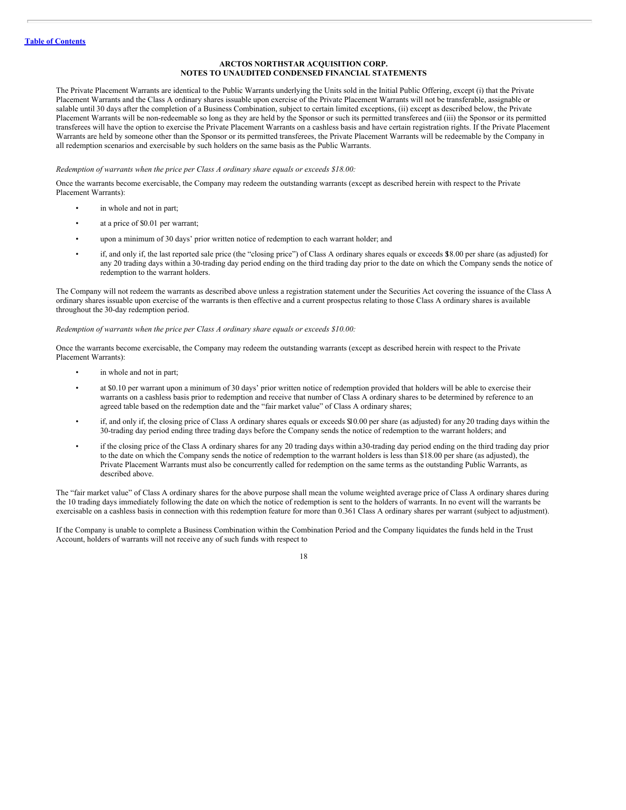The Private Placement Warrants are identical to the Public Warrants underlying the Units sold in the Initial Public Offering, except (i) that the Private Placement Warrants and the Class A ordinary shares issuable upon exercise of the Private Placement Warrants will not be transferable, assignable or salable until 30 days after the completion of a Business Combination, subject to certain limited exceptions, (ii) except as described below, the Private Placement Warrants will be non-redeemable so long as they are held by the Sponsor or such its permitted transferees and (iii) the Sponsor or its permitted transferees will have the option to exercise the Private Placement Warrants on a cashless basis and have certain registration rights. If the Private Placement Warrants are held by someone other than the Sponsor or its permitted transferees, the Private Placement Warrants will be redeemable by the Company in all redemption scenarios and exercisable by such holders on the same basis as the Public Warrants.

#### *Redemption of warrants when the price per Class A ordinary share equals or exceeds \$18.00:*

Once the warrants become exercisable, the Company may redeem the outstanding warrants (except as described herein with respect to the Private Placement Warrants):

- in whole and not in part;
- at a price of \$0.01 per warrant;
- upon a minimum of 30 days' prior written notice of redemption to each warrant holder; and
- if, and only if, the last reported sale price (the "closing price") of Class A ordinary shares equals or exceeds \$18.00 per share (as adjusted) for any 20 trading days within a 30-trading day period ending on the third trading day prior to the date on which the Company sends the notice of redemption to the warrant holders.

The Company will not redeem the warrants as described above unless a registration statement under the Securities Act covering the issuance of the Class A ordinary shares issuable upon exercise of the warrants is then effective and a current prospectus relating to those Class A ordinary shares is available throughout the 30-day redemption period.

#### *Redemption of warrants when the price per Class A ordinary share equals or exceeds \$10.00:*

Once the warrants become exercisable, the Company may redeem the outstanding warrants (except as described herein with respect to the Private Placement Warrants):

- in whole and not in part;
- at \$0.10 per warrant upon a minimum of 30 days' prior written notice of redemption provided that holders will be able to exercise their warrants on a cashless basis prior to redemption and receive that number of Class A ordinary shares to be determined by reference to an agreed table based on the redemption date and the "fair market value" of Class A ordinary shares;
- if, and only if, the closing price of Class A ordinary shares equals or exceeds \$10.00 per share (as adjusted) for any 20 trading days within the 30-trading day period ending three trading days before the Company sends the notice of redemption to the warrant holders; and
- if the closing price of the Class A ordinary shares for any 20 trading days within a30-trading day period ending on the third trading day prior to the date on which the Company sends the notice of redemption to the warrant holders is less than \$18.00 per share (as adjusted), the Private Placement Warrants must also be concurrently called for redemption on the same terms as the outstanding Public Warrants, as described above.

The "fair market value" of Class A ordinary shares for the above purpose shall mean the volume weighted average price of Class A ordinary shares during the 10 trading days immediately following the date on which the notice of redemption is sent to the holders of warrants. In no event will the warrants be exercisable on a cashless basis in connection with this redemption feature for more than 0.361 Class A ordinary shares per warrant (subject to adjustment).

If the Company is unable to complete a Business Combination within the Combination Period and the Company liquidates the funds held in the Trust Account, holders of warrants will not receive any of such funds with respect to

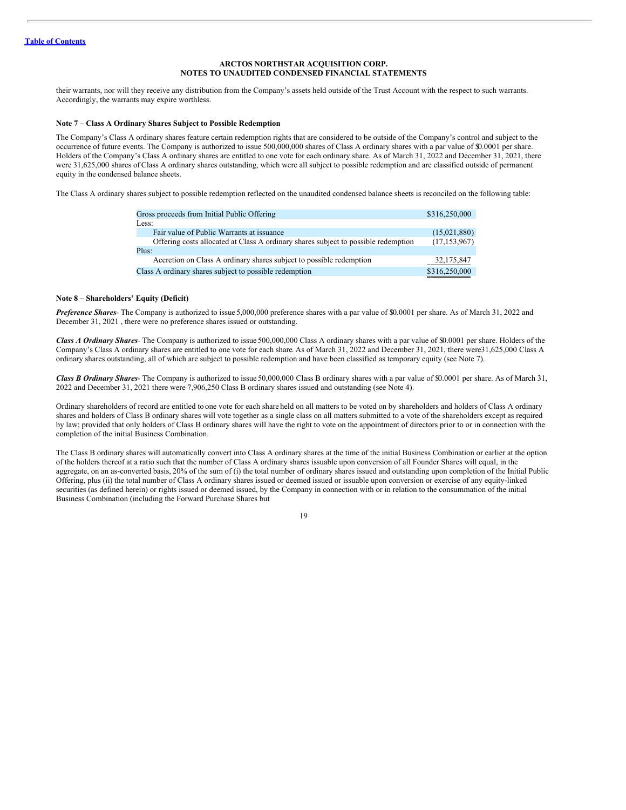their warrants, nor will they receive any distribution from the Company's assets held outside of the Trust Account with the respect to such warrants. Accordingly, the warrants may expire worthless.

#### **Note 7 – Class A Ordinary Shares Subject to Possible Redemption**

The Company's Class A ordinary shares feature certain redemption rights that are considered to be outside of the Company's control and subject to the occurrence of future events. The Company is authorized to issue 500,000,000 shares of Class A ordinary shares with a par value of \$0.0001 per share. Holders of the Company's Class A ordinary shares are entitled to one vote for each ordinary share. As of March 31, 2022 and December 31, 2021, there were 31,625,000 shares of Class A ordinary shares outstanding, which were all subject to possible redemption and are classified outside of permanent equity in the condensed balance sheets.

The Class A ordinary shares subject to possible redemption reflected on the unaudited condensed balance sheets is reconciled on the following table:

| Gross proceeds from Initial Public Offering                                        | \$316,250,000  |
|------------------------------------------------------------------------------------|----------------|
| Less:                                                                              |                |
| Fair value of Public Warrants at issuance                                          | (15,021,880)   |
| Offering costs allocated at Class A ordinary shares subject to possible redemption | (17, 153, 967) |
| Plus:                                                                              |                |
| Accretion on Class A ordinary shares subject to possible redemption                | 32,175,847     |
| Class A ordinary shares subject to possible redemption                             | \$316,250,000  |

#### **Note 8 – Shareholders' Equity (Deficit)**

*Preference Shares*- The Company is authorized to issue 5,000,000 preference shares with a par value of \$0.0001 per share. As of March 31, 2022 and December 31, 2021 , there were no preference shares issued or outstanding.

*Class A Ordinary Shares*- The Company is authorized to issue 500,000,000 Class A ordinary shares with a par value of \$0.0001 per share. Holders of the Company's Class A ordinary shares are entitled to one vote for each share. As of March 31, 2022 and December 31, 2021, there were31,625,000 Class A ordinary shares outstanding, all of which are subject to possible redemption and have been classified as temporary equity (see Note 7).

*Class B Ordinary Shares*- The Company is authorized to issue 50,000,000 Class B ordinary shares with a par value of \$0.0001 per share. As of March 31, 2022 and December 31, 2021 there were 7,906,250 Class B ordinary shares issued and outstanding (see Note 4).

Ordinary shareholders of record are entitled to one vote for each share held on all matters to be voted on by shareholders and holders of Class A ordinary shares and holders of Class B ordinary shares will vote together as a single class on all matters submitted to a vote of the shareholders except as required by law; provided that only holders of Class B ordinary shares will have the right to vote on the appointment of directors prior to or in connection with the completion of the initial Business Combination.

The Class B ordinary shares will automatically convert into Class A ordinary shares at the time of the initial Business Combination or earlier at the option of the holders thereof at a ratio such that the number of Class A ordinary shares issuable upon conversion of all Founder Shares will equal, in the aggregate, on an as-converted basis, 20% of the sum of (i) the total number of ordinary shares issued and outstanding upon completion of the Initial Public Offering, plus (ii) the total number of Class A ordinary shares issued or deemed issued or issuable upon conversion or exercise of any equity-linked securities (as defined herein) or rights issued or deemed issued, by the Company in connection with or in relation to the consummation of the initial Business Combination (including the Forward Purchase Shares but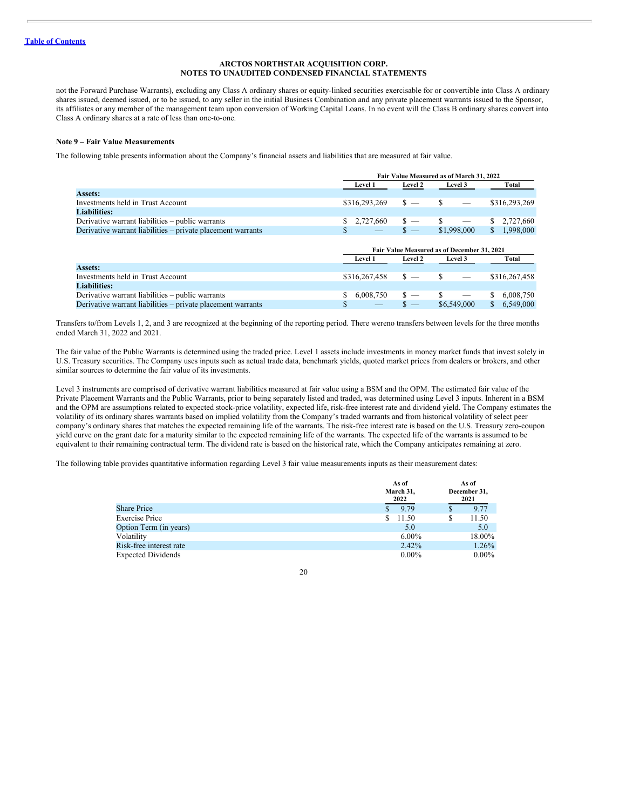not the Forward Purchase Warrants), excluding any Class A ordinary shares or equity-linked securities exercisable for or convertible into Class A ordinary shares issued, deemed issued, or to be issued, to any seller in the initial Business Combination and any private placement warrants issued to the Sponsor, its affiliates or any member of the management team upon conversion of Working Capital Loans. In no event will the Class B ordinary shares convert into Class A ordinary shares at a rate of less than one-to-one.

### **Note 9 – Fair Value Measurements**

The following table presents information about the Company's financial assets and liabilities that are measured at fair value.

|                                                             | Fair Value Measured as of March 31, 2022 |                         |                                                 |               |  |  |  |
|-------------------------------------------------------------|------------------------------------------|-------------------------|-------------------------------------------------|---------------|--|--|--|
|                                                             | <b>Level 1</b>                           | <b>Level 2</b>          | <b>Level 3</b>                                  | Total         |  |  |  |
| <b>Assets:</b>                                              |                                          |                         |                                                 |               |  |  |  |
| Investments held in Trust Account                           | $$316.293.269$ \$ -                      |                         | $\mathbf{s}$<br>$\hspace{0.1mm}-\hspace{0.1mm}$ | \$316,293,269 |  |  |  |
| <b>Liabilities:</b>                                         |                                          |                         |                                                 |               |  |  |  |
| Derivative warrant liabilities – public warrants            | $\frac{\$}{2,727,660}$ $\$$ -            |                         | $\sim$ $\sim$                                   | \$ 2.727,660  |  |  |  |
| Derivative warrant liabilities – private placement warrants |                                          | $\sqrt{s}$ – $\sqrt{s}$ | \$1,998,000                                     | \$ 1.998,000  |  |  |  |

|                                                             |                          | Fair Value Measured as of December 31, 2021 |                |               |  |  |  |
|-------------------------------------------------------------|--------------------------|---------------------------------------------|----------------|---------------|--|--|--|
|                                                             | <b>Level 1</b>           | <b>Level 2</b>                              | <b>Level 3</b> | Total         |  |  |  |
| <b>Assets:</b>                                              |                          |                                             |                |               |  |  |  |
| Investments held in Trust Account                           | $$316,267,458$ $$ -$     |                                             | S.<br>$\sim$   | \$316,267,458 |  |  |  |
| Liabilities:                                                |                          |                                             |                |               |  |  |  |
| Derivative warrant liabilities – public warrants            | \$ 6,008,750             | $\sim$                                      | $\sim$ $\sim$  | \$ 6,008,750  |  |  |  |
| Derivative warrant liabilities – private placement warrants | $\overline{\phantom{0}}$ |                                             | \$6,549,000    | \$6,549,000   |  |  |  |

Transfers to/from Levels 1, 2, and 3 are recognized at the beginning of the reporting period. There wereno transfers between levels for the three months ended March 31, 2022 and 2021.

The fair value of the Public Warrants is determined using the traded price. Level 1 assets include investments in money market funds that invest solely in U.S. Treasury securities. The Company uses inputs such as actual trade data, benchmark yields, quoted market prices from dealers or brokers, and other similar sources to determine the fair value of its investments.

Level 3 instruments are comprised of derivative warrant liabilities measured at fair value using a BSM and the OPM. The estimated fair value of the Private Placement Warrants and the Public Warrants, prior to being separately listed and traded, was determined using Level 3 inputs. Inherent in a BSM and the OPM are assumptions related to expected stock-price volatility, expected life, risk-free interest rate and dividend yield. The Company estimates the volatility of its ordinary shares warrants based on implied volatility from the Company's traded warrants and from historical volatility of select peer company's ordinary shares that matches the expected remaining life of the warrants. The risk-free interest rate is based on the U.S. Treasury zero-coupon yield curve on the grant date for a maturity similar to the expected remaining life of the warrants. The expected life of the warrants is assumed to be equivalent to their remaining contractual term. The dividend rate is based on the historical rate, which the Company anticipates remaining at zero.

The following table provides quantitative information regarding Level 3 fair value measurements inputs as their measurement dates:

|                           | As of<br>March 31,<br>2022 | As of<br>December 31,<br>2021 |          |
|---------------------------|----------------------------|-------------------------------|----------|
| <b>Share Price</b>        | 9.79                       | S                             | 9.77     |
| <b>Exercise Price</b>     | 11.50<br>S.                | \$                            | 11.50    |
| Option Term (in years)    | 5.0                        |                               | 5.0      |
| Volatility                | $6.00\%$                   |                               | 18.00%   |
| Risk-free interest rate   | 2.42%                      |                               | 1.26%    |
| <b>Expected Dividends</b> | $0.00\%$                   |                               | $0.00\%$ |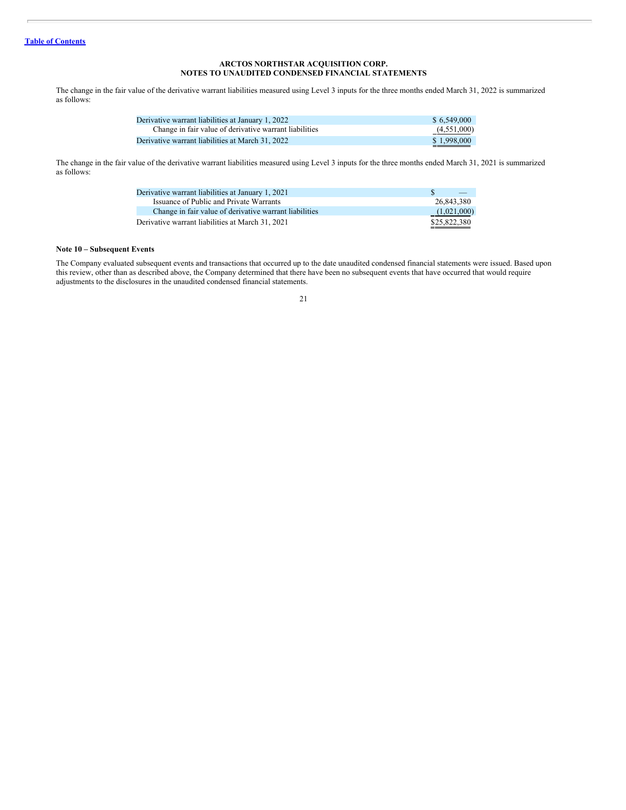The change in the fair value of the derivative warrant liabilities measured using Level 3 inputs for the three months ended March 31, 2022 is summarized as follows:

| Derivative warrant liabilities at January 1, 2022      | \$6.549,000 |
|--------------------------------------------------------|-------------|
| Change in fair value of derivative warrant liabilities | (4,551,000) |
| Derivative warrant liabilities at March 31, 2022       | \$1,998,000 |

The change in the fair value of the derivative warrant liabilities measured using Level 3 inputs for the three months ended March 31, 2021 is summarized as follows:

| Derivative warrant liabilities at January 1, 2021      |              | $\overline{\phantom{a}}$ |
|--------------------------------------------------------|--------------|--------------------------|
| Issuance of Public and Private Warrants                |              | 26,843,380               |
| Change in fair value of derivative warrant liabilities |              | (1,021,000)              |
| Derivative warrant liabilities at March 31, 2021       | \$25,822,380 |                          |

### **Note 10 – Subsequent Events**

The Company evaluated subsequent events and transactions that occurred up to the date unaudited condensed financial statements were issued. Based upon this review, other than as described above, the Company determined that there have been no subsequent events that have occurred that would require adjustments to the disclosures in the unaudited condensed financial statements.

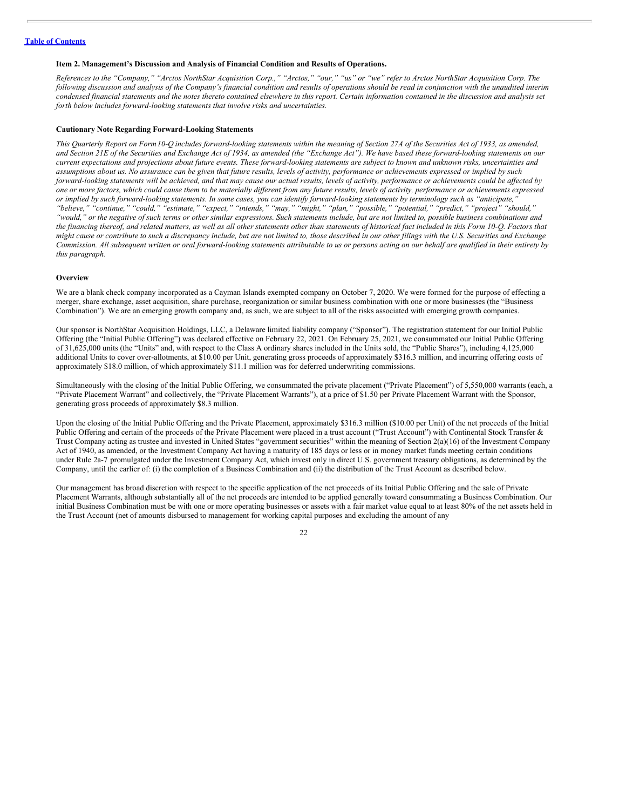#### <span id="page-22-0"></span>**Item 2. Management's Discussion and Analysis of Financial Condition and Results of Operations.**

References to the "Company," "Arctos NorthStar Acquisition Corp.," "Arctos," "our," "us" or "we" refer to Arctos NorthStar Acquisition Corp. The following discussion and analysis of the Company's financial condition and results of operations should be read in conjunction with the unaudited interim condensed financial statements and the notes thereto contained elsewhere in this report. Certain information contained in the discussion and analysis set *forth below includes forward-looking statements that involve risks and uncertainties.*

#### **Cautionary Note Regarding Forward-Looking Statements**

This Quarterly Report on Form 10-Q includes forward-looking statements within the meaning of Section 27A of the Securities Act of 1933, as amended, and Section 21E of the Securities and Exchange Act of 1934, as amended (the "Exchange Act"). We have based these forward-looking statements on our current expectations and projections about future events. These forward-looking statements are subject to known and unknown risks, uncertainties and assumptions about us. No assurance can be given that future results, levels of activity, performance or achievements expressed or implied by such forward-looking statements will be achieved, and that may cause our actual results, levels of activity, performance or achievements could be affected by one or more factors, which could cause them to be materially different from any future results, levels of activity, performance or achievements expressed or implied by such forward-looking statements. In some cases, you can identify forward-looking statements by terminology such as "anticipate," "believe," "continue," "could," "estimate," "expect," "intends," "may," "might," "plan," "possible," "protential," "predict," "project" "should," "would," or the negative of such terms or other similar expressions. Such statements include, but are not limited to, possible business combinations and the financing thereof, and related matters, as well as all other statements other than statements of historical fact included in this Form 10-O. Factors that might cause or contribute to such a discrepancy include, but are not limited to, those described in our other filings with the U.S. Securities and Exchange Commission. All subsequent written or oral forward-looking statements attributable to us or persons acting on our behalf are qualified in their entirety by *this paragraph.*

#### **Overview**

We are a blank check company incorporated as a Cayman Islands exempted company on October 7, 2020. We were formed for the purpose of effecting a merger, share exchange, asset acquisition, share purchase, reorganization or similar business combination with one or more businesses (the "Business Combination"). We are an emerging growth company and, as such, we are subject to all of the risks associated with emerging growth companies.

Our sponsor is NorthStar Acquisition Holdings, LLC, a Delaware limited liability company ("Sponsor"). The registration statement for our Initial Public Offering (the "Initial Public Offering") was declared effective on February 22, 2021. On February 25, 2021, we consummated our Initial Public Offering of 31,625,000 units (the "Units" and, with respect to the Class A ordinary shares included in the Units sold, the "Public Shares"), including 4,125,000 additional Units to cover over-allotments, at \$10.00 per Unit, generating gross proceeds of approximately \$316.3 million, and incurring offering costs of approximately \$18.0 million, of which approximately \$11.1 million was for deferred underwriting commissions.

Simultaneously with the closing of the Initial Public Offering, we consummated the private placement ("Private Placement") of 5,550,000 warrants (each, a "Private Placement Warrant" and collectively, the "Private Placement Warrants"), at a price of \$1.50 per Private Placement Warrant with the Sponsor, generating gross proceeds of approximately \$8.3 million.

Upon the closing of the Initial Public Offering and the Private Placement, approximately \$316.3 million (\$10.00 per Unit) of the net proceeds of the Initial Public Offering and certain of the proceeds of the Private Placement were placed in a trust account ("Trust Account") with Continental Stock Transfer & Trust Company acting as trustee and invested in United States "government securities" within the meaning of Section 2(a)(16) of the Investment Company Act of 1940, as amended, or the Investment Company Act having a maturity of 185 days or less or in money market funds meeting certain conditions under Rule 2a-7 promulgated under the Investment Company Act, which invest only in direct U.S. government treasury obligations, as determined by the Company, until the earlier of: (i) the completion of a Business Combination and (ii) the distribution of the Trust Account as described below.

Our management has broad discretion with respect to the specific application of the net proceeds of its Initial Public Offering and the sale of Private Placement Warrants, although substantially all of the net proceeds are intended to be applied generally toward consummating a Business Combination. Our initial Business Combination must be with one or more operating businesses or assets with a fair market value equal to at least 80% of the net assets held in the Trust Account (net of amounts disbursed to management for working capital purposes and excluding the amount of any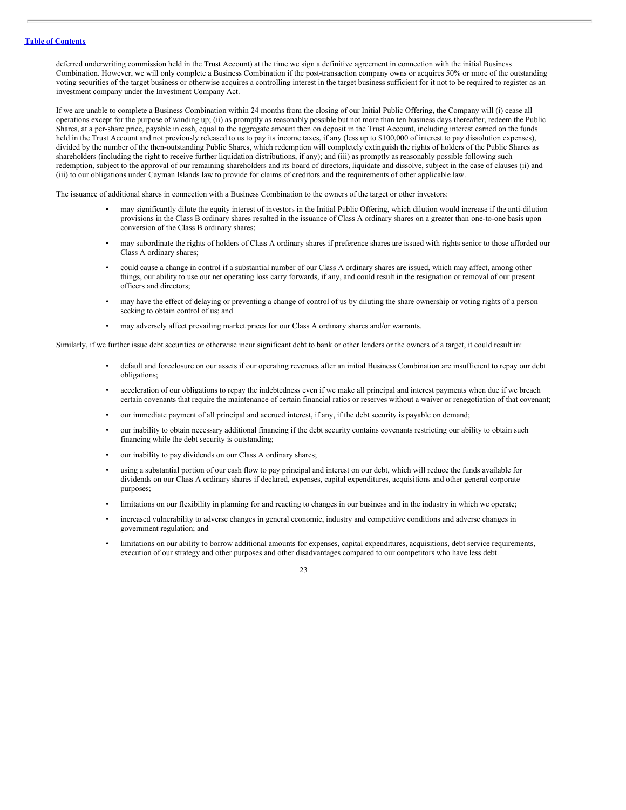deferred underwriting commission held in the Trust Account) at the time we sign a definitive agreement in connection with the initial Business Combination. However, we will only complete a Business Combination if the post-transaction company owns or acquires 50% or more of the outstanding voting securities of the target business or otherwise acquires a controlling interest in the target business sufficient for it not to be required to register as an investment company under the Investment Company Act.

If we are unable to complete a Business Combination within 24 months from the closing of our Initial Public Offering, the Company will (i) cease all operations except for the purpose of winding up; (ii) as promptly as reasonably possible but not more than ten business days thereafter, redeem the Public Shares, at a per-share price, payable in cash, equal to the aggregate amount then on deposit in the Trust Account, including interest earned on the funds held in the Trust Account and not previously released to us to pay its income taxes, if any (less up to \$100,000 of interest to pay dissolution expenses), divided by the number of the then-outstanding Public Shares, which redemption will completely extinguish the rights of holders of the Public Shares as shareholders (including the right to receive further liquidation distributions, if any); and (iii) as promptly as reasonably possible following such redemption, subject to the approval of our remaining shareholders and its board of directors, liquidate and dissolve, subject in the case of clauses (ii) and (iii) to our obligations under Cayman Islands law to provide for claims of creditors and the requirements of other applicable law.

The issuance of additional shares in connection with a Business Combination to the owners of the target or other investors:

- may significantly dilute the equity interest of investors in the Initial Public Offering, which dilution would increase if the anti-dilution provisions in the Class B ordinary shares resulted in the issuance of Class A ordinary shares on a greater than one-to-one basis upon conversion of the Class B ordinary shares;
- may subordinate the rights of holders of Class A ordinary shares if preference shares are issued with rights senior to those afforded our Class A ordinary shares;
- could cause a change in control if a substantial number of our Class A ordinary shares are issued, which may affect, among other things, our ability to use our net operating loss carry forwards, if any, and could result in the resignation or removal of our present officers and directors;
- may have the effect of delaying or preventing a change of control of us by diluting the share ownership or voting rights of a person seeking to obtain control of us; and
- may adversely affect prevailing market prices for our Class A ordinary shares and/or warrants.

Similarly, if we further issue debt securities or otherwise incur significant debt to bank or other lenders or the owners of a target, it could result in:

- default and foreclosure on our assets if our operating revenues after an initial Business Combination are insufficient to repay our debt obligations;
- acceleration of our obligations to repay the indebtedness even if we make all principal and interest payments when due if we breach certain covenants that require the maintenance of certain financial ratios or reserves without a waiver or renegotiation of that covenant;
- our immediate payment of all principal and accrued interest, if any, if the debt security is payable on demand;
- our inability to obtain necessary additional financing if the debt security contains covenants restricting our ability to obtain such financing while the debt security is outstanding;
- our inability to pay dividends on our Class A ordinary shares;
- using a substantial portion of our cash flow to pay principal and interest on our debt, which will reduce the funds available for dividends on our Class A ordinary shares if declared, expenses, capital expenditures, acquisitions and other general corporate purposes;
- limitations on our flexibility in planning for and reacting to changes in our business and in the industry in which we operate;
- increased vulnerability to adverse changes in general economic, industry and competitive conditions and adverse changes in government regulation; and
- limitations on our ability to borrow additional amounts for expenses, capital expenditures, acquisitions, debt service requirements, execution of our strategy and other purposes and other disadvantages compared to our competitors who have less debt.

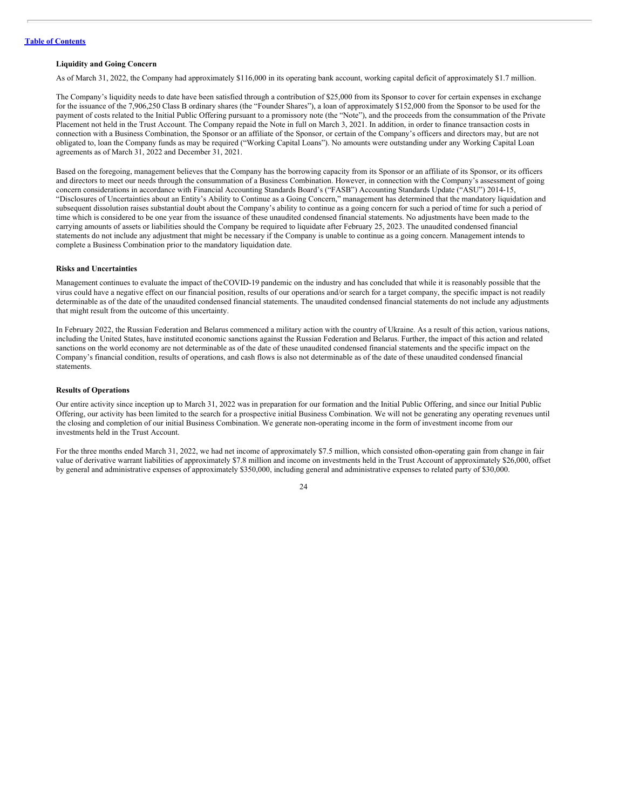#### **Liquidity and Going Concern**

As of March 31, 2022, the Company had approximately \$116,000 in its operating bank account, working capital deficit of approximately \$1.7 million.

The Company's liquidity needs to date have been satisfied through a contribution of \$25,000 from its Sponsor to cover for certain expenses in exchange for the issuance of the 7,906,250 Class B ordinary shares (the "Founder Shares"), a loan of approximately \$152,000 from the Sponsor to be used for the payment of costs related to the Initial Public Offering pursuant to a promissory note (the "Note"), and the proceeds from the consummation of the Private Placement not held in the Trust Account. The Company repaid the Note in full on March 3, 2021. In addition, in order to finance transaction costs in connection with a Business Combination, the Sponsor or an affiliate of the Sponsor, or certain of the Company's officers and directors may, but are not obligated to, loan the Company funds as may be required ("Working Capital Loans"). No amounts were outstanding under any Working Capital Loan agreements as of March 31, 2022 and December 31, 2021.

Based on the foregoing, management believes that the Company has the borrowing capacity from its Sponsor or an affiliate of its Sponsor, or its officers and directors to meet our needs through the consummation of a Business Combination. However, in connection with the Company's assessment of going concern considerations in accordance with Financial Accounting Standards Board's ("FASB") Accounting Standards Update ("ASU") 2014-15, "Disclosures of Uncertainties about an Entity's Ability to Continue as a Going Concern," management has determined that the mandatory liquidation and subsequent dissolution raises substantial doubt about the Company's ability to continue as a going concern for such a period of time for such a period of time which is considered to be one year from the issuance of these unaudited condensed financial statements. No adjustments have been made to the carrying amounts of assets or liabilities should the Company be required to liquidate after February 25, 2023. The unaudited condensed financial statements do not include any adjustment that might be necessary if the Company is unable to continue as a going concern. Management intends to complete a Business Combination prior to the mandatory liquidation date.

### **Risks and Uncertainties**

Management continues to evaluate the impact of theCOVID-19 pandemic on the industry and has concluded that while it is reasonably possible that the virus could have a negative effect on our financial position, results of our operations and/or search for a target company, the specific impact is not readily determinable as of the date of the unaudited condensed financial statements. The unaudited condensed financial statements do not include any adjustments that might result from the outcome of this uncertainty.

In February 2022, the Russian Federation and Belarus commenced a military action with the country of Ukraine. As a result of this action, various nations, including the United States, have instituted economic sanctions against the Russian Federation and Belarus. Further, the impact of this action and related sanctions on the world economy are not determinable as of the date of these unaudited condensed financial statements and the specific impact on the Company's financial condition, results of operations, and cash flows is also not determinable as of the date of these unaudited condensed financial statements.

#### **Results of Operations**

Our entire activity since inception up to March 31, 2022 was in preparation for our formation and the Initial Public Offering, and since our Initial Public Offering, our activity has been limited to the search for a prospective initial Business Combination. We will not be generating any operating revenues until the closing and completion of our initial Business Combination. We generate non-operating income in the form of investment income from our investments held in the Trust Account.

For the three months ended March 31, 2022, we had net income of approximately \$7.5 million, which consisted ofnon-operating gain from change in fair value of derivative warrant liabilities of approximately \$7.8 million and income on investments held in the Trust Account of approximately \$26,000, offset by general and administrative expenses of approximately \$350,000, including general and administrative expenses to related party of \$30,000.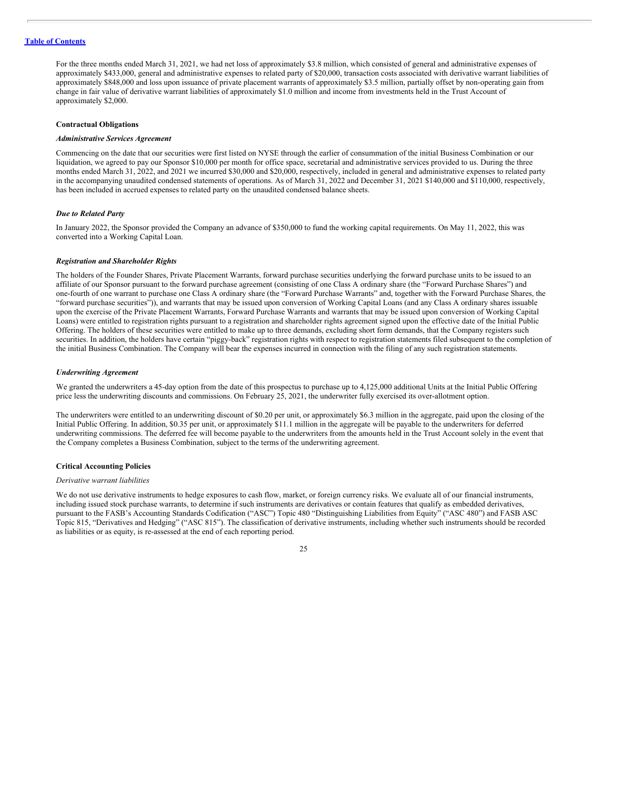For the three months ended March 31, 2021, we had net loss of approximately \$3.8 million, which consisted of general and administrative expenses of approximately \$433,000, general and administrative expenses to related party of \$20,000, transaction costs associated with derivative warrant liabilities of approximately \$848,000 and loss upon issuance of private placement warrants of approximately \$3.5 million, partially offset by non-operating gain from change in fair value of derivative warrant liabilities of approximately \$1.0 million and income from investments held in the Trust Account of approximately \$2,000.

#### **Contractual Obligations**

#### *Administrative Services Agreement*

Commencing on the date that our securities were first listed on NYSE through the earlier of consummation of the initial Business Combination or our liquidation, we agreed to pay our Sponsor \$10,000 per month for office space, secretarial and administrative services provided to us. During the three months ended March 31, 2022, and 2021 we incurred \$30,000 and \$20,000, respectively, included in general and administrative expenses to related party in the accompanying unaudited condensed statements of operations. As of March 31, 2022 and December 31, 2021 \$140,000 and \$110,000, respectively, has been included in accrued expenses to related party on the unaudited condensed balance sheets.

#### *Due to Related Party*

In January 2022, the Sponsor provided the Company an advance of \$350,000 to fund the working capital requirements. On May 11, 2022, this was converted into a Working Capital Loan.

#### *Registration and Shareholder Rights*

The holders of the Founder Shares, Private Placement Warrants, forward purchase securities underlying the forward purchase units to be issued to an affiliate of our Sponsor pursuant to the forward purchase agreement (consisting of one Class A ordinary share (the "Forward Purchase Shares") and one-fourth of one warrant to purchase one Class A ordinary share (the "Forward Purchase Warrants" and, together with the Forward Purchase Shares, the "forward purchase securities")), and warrants that may be issued upon conversion of Working Capital Loans (and any Class A ordinary shares issuable upon the exercise of the Private Placement Warrants, Forward Purchase Warrants and warrants that may be issued upon conversion of Working Capital Loans) were entitled to registration rights pursuant to a registration and shareholder rights agreement signed upon the effective date of the Initial Public Offering. The holders of these securities were entitled to make up to three demands, excluding short form demands, that the Company registers such securities. In addition, the holders have certain "piggy-back" registration rights with respect to registration statements filed subsequent to the completion of the initial Business Combination. The Company will bear the expenses incurred in connection with the filing of any such registration statements.

#### *Underwriting Agreement*

We granted the underwriters a 45-day option from the date of this prospectus to purchase up to 4,125,000 additional Units at the Initial Public Offering price less the underwriting discounts and commissions. On February 25, 2021, the underwriter fully exercised its over-allotment option.

The underwriters were entitled to an underwriting discount of \$0.20 per unit, or approximately \$6.3 million in the aggregate, paid upon the closing of the Initial Public Offering. In addition, \$0.35 per unit, or approximately \$11.1 million in the aggregate will be payable to the underwriters for deferred underwriting commissions. The deferred fee will become payable to the underwriters from the amounts held in the Trust Account solely in the event that the Company completes a Business Combination, subject to the terms of the underwriting agreement.

### **Critical Accounting Policies**

#### *Derivative warrant liabilities*

We do not use derivative instruments to hedge exposures to cash flow, market, or foreign currency risks. We evaluate all of our financial instruments, including issued stock purchase warrants, to determine if such instruments are derivatives or contain features that qualify as embedded derivatives, pursuant to the FASB's Accounting Standards Codification ("ASC") Topic 480 "Distinguishing Liabilities from Equity" ("ASC 480") and FASB ASC Topic 815, "Derivatives and Hedging" ("ASC 815"). The classification of derivative instruments, including whether such instruments should be recorded as liabilities or as equity, is re-assessed at the end of each reporting period.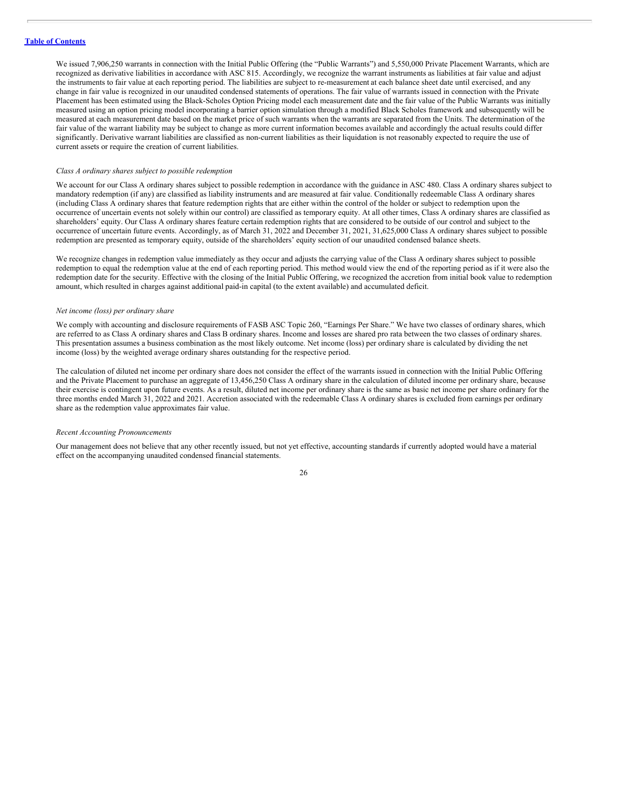#### **Table of [Contents](#page-2-0)**

We issued 7,906,250 warrants in connection with the Initial Public Offering (the "Public Warrants") and 5,550,000 Private Placement Warrants, which are recognized as derivative liabilities in accordance with ASC 815. Accordingly, we recognize the warrant instruments as liabilities at fair value and adjust the instruments to fair value at each reporting period. The liabilities are subject to re-measurement at each balance sheet date until exercised, and any change in fair value is recognized in our unaudited condensed statements of operations. The fair value of warrants issued in connection with the Private Placement has been estimated using the Black-Scholes Option Pricing model each measurement date and the fair value of the Public Warrants was initially measured using an option pricing model incorporating a barrier option simulation through a modified Black Scholes framework and subsequently will be measured at each measurement date based on the market price of such warrants when the warrants are separated from the Units. The determination of the fair value of the warrant liability may be subject to change as more current information becomes available and accordingly the actual results could differ significantly. Derivative warrant liabilities are classified as non-current liabilities as their liquidation is not reasonably expected to require the use of current assets or require the creation of current liabilities.

### *Class A ordinary shares subject to possible redemption*

We account for our Class A ordinary shares subject to possible redemption in accordance with the guidance in ASC 480. Class A ordinary shares subject to mandatory redemption (if any) are classified as liability instruments and are measured at fair value. Conditionally redeemable Class A ordinary shares (including Class A ordinary shares that feature redemption rights that are either within the control of the holder or subject to redemption upon the occurrence of uncertain events not solely within our control) are classified as temporary equity. At all other times, Class A ordinary shares are classified as shareholders' equity. Our Class A ordinary shares feature certain redemption rights that are considered to be outside of our control and subject to the occurrence of uncertain future events. Accordingly, as of March 31, 2022 and December 31, 2021, 31,625,000 Class A ordinary shares subject to possible redemption are presented as temporary equity, outside of the shareholders' equity section of our unaudited condensed balance sheets.

We recognize changes in redemption value immediately as they occur and adjusts the carrying value of the Class A ordinary shares subject to possible redemption to equal the redemption value at the end of each reporting period. This method would view the end of the reporting period as if it were also the redemption date for the security. Effective with the closing of the Initial Public Offering, we recognized the accretion from initial book value to redemption amount, which resulted in charges against additional paid-in capital (to the extent available) and accumulated deficit.

#### *Net income (loss) per ordinary share*

We comply with accounting and disclosure requirements of FASB ASC Topic 260, "Earnings Per Share." We have two classes of ordinary shares, which are referred to as Class A ordinary shares and Class B ordinary shares. Income and losses are shared pro rata between the two classes of ordinary shares. This presentation assumes a business combination as the most likely outcome. Net income (loss) per ordinary share is calculated by dividing the net income (loss) by the weighted average ordinary shares outstanding for the respective period.

The calculation of diluted net income per ordinary share does not consider the effect of the warrants issued in connection with the Initial Public Offering and the Private Placement to purchase an aggregate of 13,456,250 Class A ordinary share in the calculation of diluted income per ordinary share, because their exercise is contingent upon future events. As a result, diluted net income per ordinary share is the same as basic net income per share ordinary for the three months ended March 31, 2022 and 2021. Accretion associated with the redeemable Class A ordinary shares is excluded from earnings per ordinary share as the redemption value approximates fair value.

#### *Recent Accounting Pronouncements*

Our management does not believe that any other recently issued, but not yet effective, accounting standards if currently adopted would have a material effect on the accompanying unaudited condensed financial statements.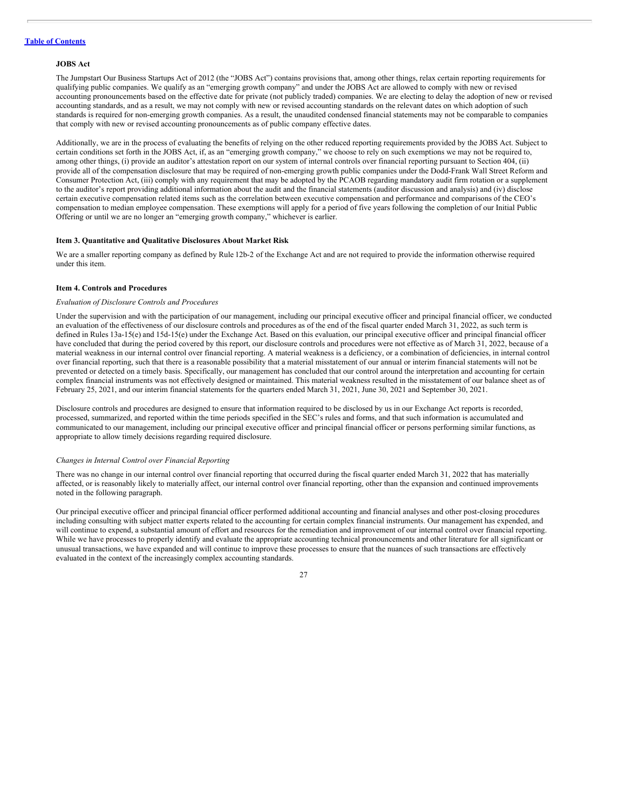#### **JOBS Act**

The Jumpstart Our Business Startups Act of 2012 (the "JOBS Act") contains provisions that, among other things, relax certain reporting requirements for qualifying public companies. We qualify as an "emerging growth company" and under the JOBS Act are allowed to comply with new or revised accounting pronouncements based on the effective date for private (not publicly traded) companies. We are electing to delay the adoption of new or revised accounting standards, and as a result, we may not comply with new or revised accounting standards on the relevant dates on which adoption of such standards is required for non-emerging growth companies. As a result, the unaudited condensed financial statements may not be comparable to companies that comply with new or revised accounting pronouncements as of public company effective dates.

Additionally, we are in the process of evaluating the benefits of relying on the other reduced reporting requirements provided by the JOBS Act. Subject to certain conditions set forth in the JOBS Act, if, as an "emerging growth company," we choose to rely on such exemptions we may not be required to, among other things, (i) provide an auditor's attestation report on our system of internal controls over financial reporting pursuant to Section 404, (ii) provide all of the compensation disclosure that may be required of non-emerging growth public companies under the Dodd-Frank Wall Street Reform and Consumer Protection Act, (iii) comply with any requirement that may be adopted by the PCAOB regarding mandatory audit firm rotation or a supplement to the auditor's report providing additional information about the audit and the financial statements (auditor discussion and analysis) and (iv) disclose certain executive compensation related items such as the correlation between executive compensation and performance and comparisons of the CEO's compensation to median employee compensation. These exemptions will apply for a period of five years following the completion of our Initial Public Offering or until we are no longer an "emerging growth company," whichever is earlier.

#### <span id="page-27-0"></span>**Item 3. Quantitative and Qualitative Disclosures About Market Risk**

We are a smaller reporting company as defined by Rule 12b-2 of the Exchange Act and are not required to provide the information otherwise required under this item.

#### <span id="page-27-1"></span>**Item 4. Controls and Procedures**

### *Evaluation of Disclosure Controls and Procedures*

Under the supervision and with the participation of our management, including our principal executive officer and principal financial officer, we conducted an evaluation of the effectiveness of our disclosure controls and procedures as of the end of the fiscal quarter ended March 31, 2022, as such term is defined in Rules 13a-15(e) and 15d-15(e) under the Exchange Act. Based on this evaluation, our principal executive officer and principal financial officer have concluded that during the period covered by this report, our disclosure controls and procedures were not effective as of March 31, 2022, because of a material weakness in our internal control over financial reporting. A material weakness is a deficiency, or a combination of deficiencies, in internal control over financial reporting, such that there is a reasonable possibility that a material misstatement of our annual or interim financial statements will not be prevented or detected on a timely basis. Specifically, our management has concluded that our control around the interpretation and accounting for certain complex financial instruments was not effectively designed or maintained. This material weakness resulted in the misstatement of our balance sheet as of February 25, 2021, and our interim financial statements for the quarters ended March 31, 2021, June 30, 2021 and September 30, 2021.

Disclosure controls and procedures are designed to ensure that information required to be disclosed by us in our Exchange Act reports is recorded, processed, summarized, and reported within the time periods specified in the SEC's rules and forms, and that such information is accumulated and communicated to our management, including our principal executive officer and principal financial officer or persons performing similar functions, as appropriate to allow timely decisions regarding required disclosure.

#### *Changes in Internal Control over Financial Reporting*

There was no change in our internal control over financial reporting that occurred during the fiscal quarter ended March 31, 2022 that has materially affected, or is reasonably likely to materially affect, our internal control over financial reporting, other than the expansion and continued improvements noted in the following paragraph.

Our principal executive officer and principal financial officer performed additional accounting and financial analyses and other post-closing procedures including consulting with subject matter experts related to the accounting for certain complex financial instruments. Our management has expended, and will continue to expend, a substantial amount of effort and resources for the remediation and improvement of our internal control over financial reporting. While we have processes to properly identify and evaluate the appropriate accounting technical pronouncements and other literature for all significant or unusual transactions, we have expanded and will continue to improve these processes to ensure that the nuances of such transactions are effectively evaluated in the context of the increasingly complex accounting standards.

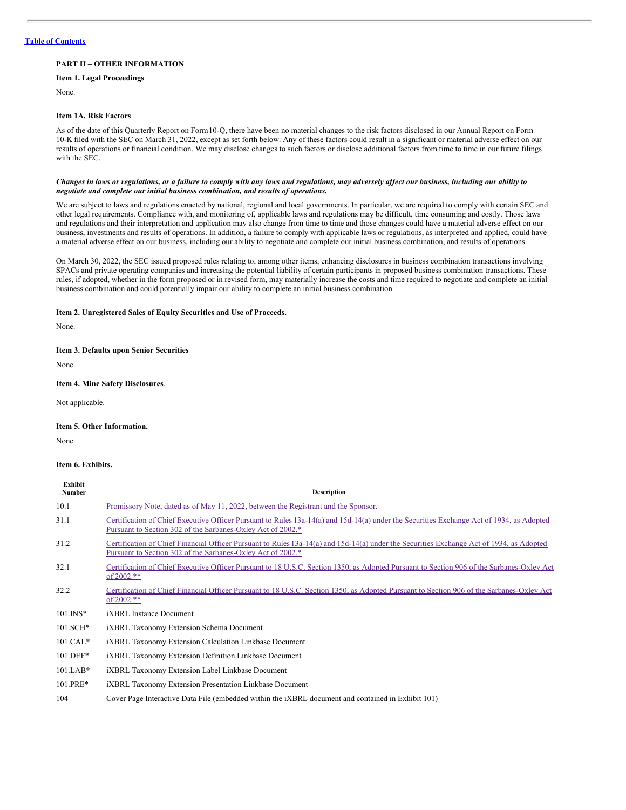### <span id="page-28-0"></span>**PART II – OTHER INFORMATION**

### <span id="page-28-1"></span>**Item 1. Legal Proceedings**

None.

### <span id="page-28-2"></span>**Item 1A. Risk Factors**

As of the date of this Quarterly Report on Form10-Q, there have been no material changes to the risk factors disclosed in our Annual Report on Form 10-K filed with the SEC on March 31, 2022, except as set forth below. Any of these factors could result in a significant or material adverse effect on our results of operations or financial condition. We may disclose changes to such factors or disclose additional factors from time to time in our future filings with the SEC.

#### Changes in laws or regulations, or a failure to comply with any laws and regulations, may adversely affect our business, including our ability to *negotiate and complete our initial business combination, and results of operations.*

We are subject to laws and regulations enacted by national, regional and local governments. In particular, we are required to comply with certain SEC and other legal requirements. Compliance with, and monitoring of, applicable laws and regulations may be difficult, time consuming and costly. Those laws and regulations and their interpretation and application may also change from time to time and those changes could have a material adverse effect on our business, investments and results of operations. In addition, a failure to comply with applicable laws or regulations, as interpreted and applied, could have a material adverse effect on our business, including our ability to negotiate and complete our initial business combination, and results of operations.

On March 30, 2022, the SEC issued proposed rules relating to, among other items, enhancing disclosures in business combination transactions involving SPACs and private operating companies and increasing the potential liability of certain participants in proposed business combination transactions. These rules, if adopted, whether in the form proposed or in revised form, may materially increase the costs and time required to negotiate and complete an initial business combination and could potentially impair our ability to complete an initial business combination.

#### <span id="page-28-3"></span>**Item 2. Unregistered Sales of Equity Securities and Use of Proceeds.**

None.

#### <span id="page-28-4"></span>**Item 3. Defaults upon Senior Securities**

None.

### <span id="page-28-5"></span>**Item 4. Mine Safety Disclosures**.

Not applicable.

#### <span id="page-28-6"></span>**Item 5. Other Information.**

None.

#### <span id="page-28-7"></span>**Item 6. Exhibits.**

| <b>Exhibit</b><br><b>Number</b> | <b>Description</b>                                                                                                                                                                                      |
|---------------------------------|---------------------------------------------------------------------------------------------------------------------------------------------------------------------------------------------------------|
| 10.1                            | Promissory Note, dated as of May 11, 2022, between the Registrant and the Sponsor.                                                                                                                      |
| 31.1                            | Certification of Chief Executive Officer Pursuant to Rules 13a-14(a) and 15d-14(a) under the Securities Exchange Act of 1934, as Adopted<br>Pursuant to Section 302 of the Sarbanes-Oxley Act of 2002.* |
| 31.2                            | Certification of Chief Financial Officer Pursuant to Rules 13a-14(a) and 15d-14(a) under the Securities Exchange Act of 1934, as Adopted<br>Pursuant to Section 302 of the Sarbanes-Oxley Act of 2002.* |
| 32.1                            | Certification of Chief Executive Officer Pursuant to 18 U.S.C. Section 1350, as Adopted Pursuant to Section 906 of the Sarbanes-Oxley Act<br>of $2002.**$                                               |
| 32.2                            | Certification of Chief Financial Officer Pursuant to 18 U.S.C. Section 1350, as Adopted Pursuant to Section 906 of the Sarbanes-Oxley Act<br>of 2002.**                                                 |
| $101.$ INS*                     | <b>iXBRL</b> Instance Document                                                                                                                                                                          |
| 101.SCH*                        | <b>iXBRL Taxonomy Extension Schema Document</b>                                                                                                                                                         |
| $101.CAL*$                      | iXBRL Taxonomy Extension Calculation Linkbase Document                                                                                                                                                  |
| 101.DEF*                        | <b>iXBRL Taxonomy Extension Definition Linkbase Document</b>                                                                                                                                            |
| $101.LAB*$                      | <i>iXBRL</i> Taxonomy Extension Label Linkbase Document                                                                                                                                                 |
| 101.PRE*                        | <b>iXBRL Taxonomy Extension Presentation Linkbase Document</b>                                                                                                                                          |
| 104                             | Cover Page Interactive Data File (embedded within the <i>iXBRL</i> document and contained in Exhibit 101)                                                                                               |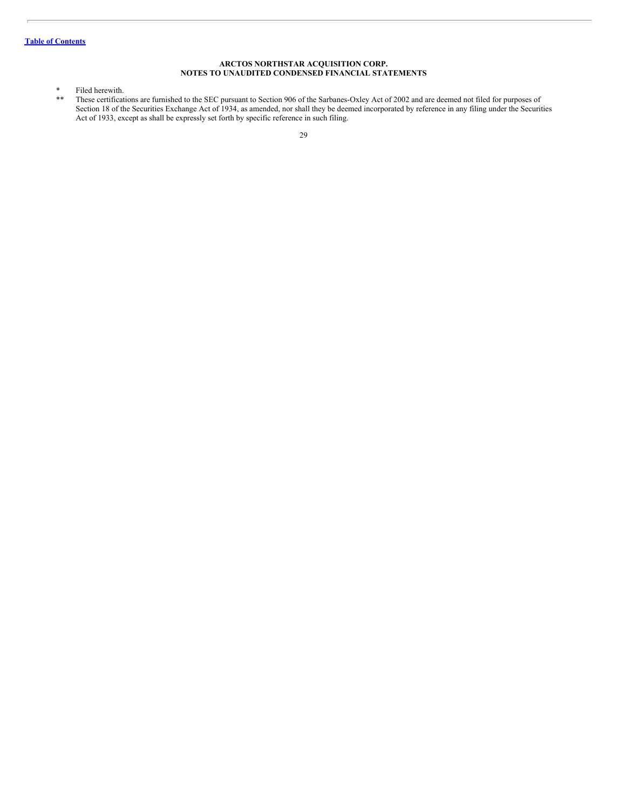- \* Filed herewith.
- \*\* These certifications are furnished to the SEC pursuant to Section 906 of the Sarbanes-Oxley Act of 2002 and are deemed not filed for purposes of Section 18 of the Securities Exchange Act of 1934, as amended, nor shall they be deemed incorporated by reference in any filing under the Securities Act of 1933, except as shall be expressly set forth by specific reference in such filing.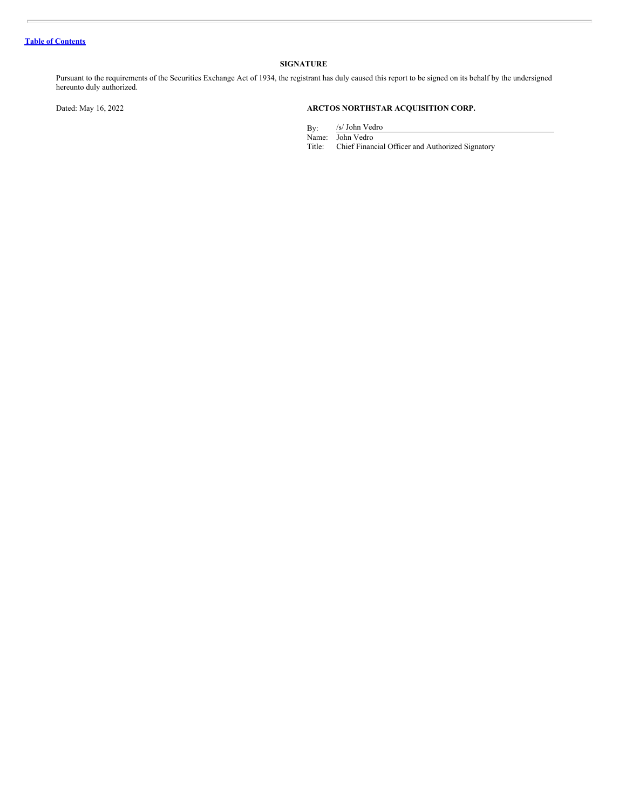### **SIGNATURE**

Pursuant to the requirements of the Securities Exchange Act of 1934, the registrant has duly caused this report to be signed on its behalf by the undersigned hereunto duly authorized.

### Dated: May 16, 2022 **ARCTOS NORTHSTAR ACQUISITION CORP.**

By: /s/ John Vedro

Name: John Vedro<br>Title: Chief Financ Chief Financial Officer and Authorized Signatory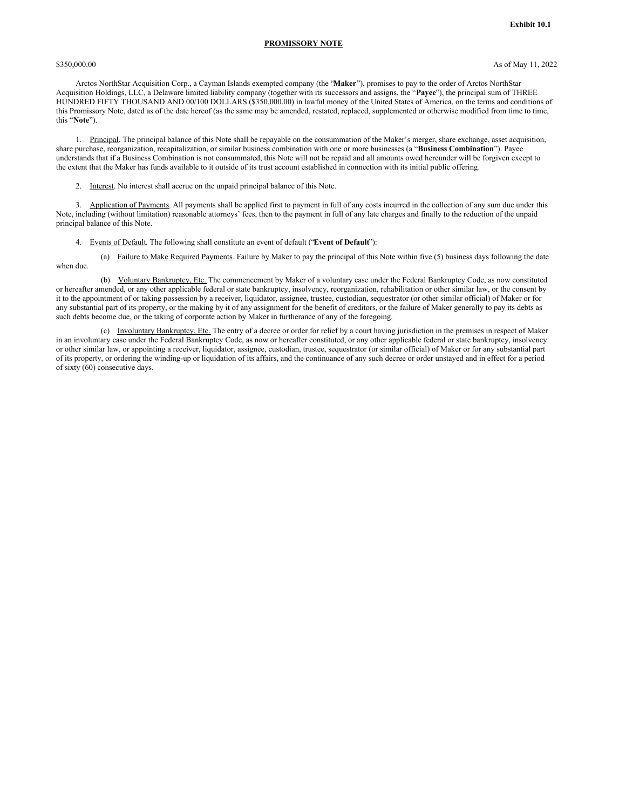### **PROMISSORY NOTE**

Arctos NorthStar Acquisition Corp., a Cayman Islands exempted company (the "**Maker**"), promises to pay to the order of Arctos NorthStar Acquisition Holdings, LLC, a Delaware limited liability company (together with its successors and assigns, the "**Payee**"), the principal sum of THREE HUNDRED FIFTY THOUSAND AND 00/100 DOLLARS (\$350,000.00) in lawful money of the United States of America, on the terms and conditions of this Promissory Note, dated as of the date hereof (as the same may be amended, restated, replaced, supplemented or otherwise modified from time to time, this "**Note**").

1. Principal. The principal balance of this Note shall be repayable on the consummation of the Maker's merger, share exchange, asset acquisition, share purchase, reorganization, recapitalization, or similar business combination with one or more businesses (a "**Business Combination**"). Payee understands that if a Business Combination is not consummated, this Note will not be repaid and all amounts owed hereunder will be forgiven except to the extent that the Maker has funds available to it outside of its trust account established in connection with its initial public offering.

2. Interest. No interest shall accrue on the unpaid principal balance of this Note.

3. Application of Payments. All payments shall be applied first to payment in full of any costs incurred in the collection of any sum due under this Note, including (without limitation) reasonable attorneys' fees, then to the payment in full of any late charges and finally to the reduction of the unpaid principal balance of this Note.

4. Events of Default. The following shall constitute an event of default ("**Event of Default**"):

(a) Failure to Make Required Payments. Failure by Maker to pay the principal of this Note within five (5) business days following the date when due.

(b) Voluntary Bankruptcy, Etc. The commencement by Maker of a voluntary case under the Federal Bankruptcy Code, as now constituted or hereafter amended, or any other applicable federal or state bankruptcy, insolvency, reorganization, rehabilitation or other similar law, or the consent by it to the appointment of or taking possession by a receiver, liquidator, assignee, trustee, custodian, sequestrator (or other similar official) of Maker or for any substantial part of its property, or the making by it of any assignment for the benefit of creditors, or the failure of Maker generally to pay its debts as such debts become due, or the taking of corporate action by Maker in furtherance of any of the foregoing.

(c) Involuntary Bankruptcy, Etc. The entry of a decree or order for relief by a court having jurisdiction in the premises in respect of Maker in an involuntary case under the Federal Bankruptcy Code, as now or hereafter constituted, or any other applicable federal or state bankruptcy, insolvency or other similar law, or appointing a receiver, liquidator, assignee, custodian, trustee, sequestrator (or similar official) of Maker or for any substantial part of its property, or ordering the winding-up or liquidation of its affairs, and the continuance of any such decree or order unstayed and in effect for a period of sixty (60) consecutive days.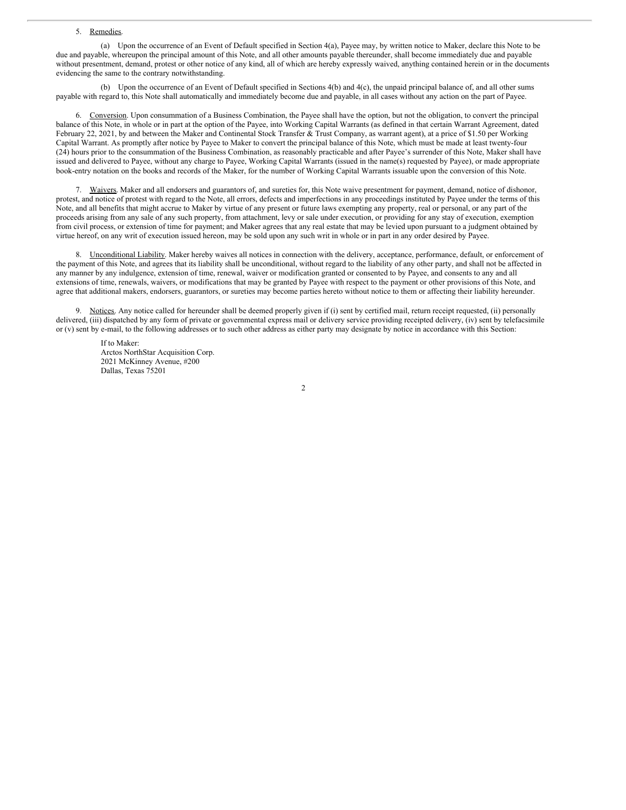#### <span id="page-32-0"></span>5. Remedies.

(a) Upon the occurrence of an Event of Default specified in Section 4(a), Payee may, by written notice to Maker, declare this Note to be due and payable, whereupon the principal amount of this Note, and all other amounts payable thereunder, shall become immediately due and payable without presentment, demand, protest or other notice of any kind, all of which are hereby expressly waived, anything contained herein or in the documents evidencing the same to the contrary notwithstanding.

(b) Upon the occurrence of an Event of Default specified in Sections 4(b) and 4(c), the unpaid principal balance of, and all other sums payable with regard to, this Note shall automatically and immediately become due and payable, in all cases without any action on the part of Payee.

6. Conversion. Upon consummation of a Business Combination, the Payee shall have the option, but not the obligation, to convert the principal balance of this Note, in whole or in part at the option of the Payee, into Working Capital Warrants (as defined in that certain Warrant Agreement, dated February 22, 2021, by and between the Maker and Continental Stock Transfer & Trust Company, as warrant agent), at a price of \$1.50 per Working Capital Warrant. As promptly after notice by Payee to Maker to convert the principal balance of this Note, which must be made at least twenty-four (24) hours prior to the consummation of the Business Combination, as reasonably practicable and after Payee's surrender of this Note, Maker shall have issued and delivered to Payee, without any charge to Payee, Working Capital Warrants (issued in the name(s) requested by Payee), or made appropriate book-entry notation on the books and records of the Maker, for the number of Working Capital Warrants issuable upon the conversion of this Note.

7. Waivers. Maker and all endorsers and guarantors of, and sureties for, this Note waive presentment for payment, demand, notice of dishonor, protest, and notice of protest with regard to the Note, all errors, defects and imperfections in any proceedings instituted by Payee under the terms of this Note, and all benefits that might accrue to Maker by virtue of any present or future laws exempting any property, real or personal, or any part of the proceeds arising from any sale of any such property, from attachment, levy or sale under execution, or providing for any stay of execution, exemption from civil process, or extension of time for payment; and Maker agrees that any real estate that may be levied upon pursuant to a judgment obtained by virtue hereof, on any writ of execution issued hereon, may be sold upon any such writ in whole or in part in any order desired by Payee.

8. Unconditional Liability. Maker hereby waives all notices in connection with the delivery, acceptance, performance, default, or enforcement of the payment of this Note, and agrees that its liability shall be unconditional, without regard to the liability of any other party, and shall not be affected in any manner by any indulgence, extension of time, renewal, waiver or modification granted or consented to by Payee, and consents to any and all extensions of time, renewals, waivers, or modifications that may be granted by Payee with respect to the payment or other provisions of this Note, and agree that additional makers, endorsers, guarantors, or sureties may become parties hereto without notice to them or affecting their liability hereunder.

9. Notices. Any notice called for hereunder shall be deemed properly given if (i) sent by certified mail, return receipt requested, (ii) personally delivered, (iii) dispatched by any form of private or governmental express mail or delivery service providing receipted delivery, (iv) sent by telefacsimile or  $(v)$  sent by e-mail, to the following addresses or to such other address as either party may designate by notice in accordance with this Section:

If to Maker: Arctos NorthStar Acquisition Corp. 2021 McKinney Avenue, #200 Dallas, Texas 75201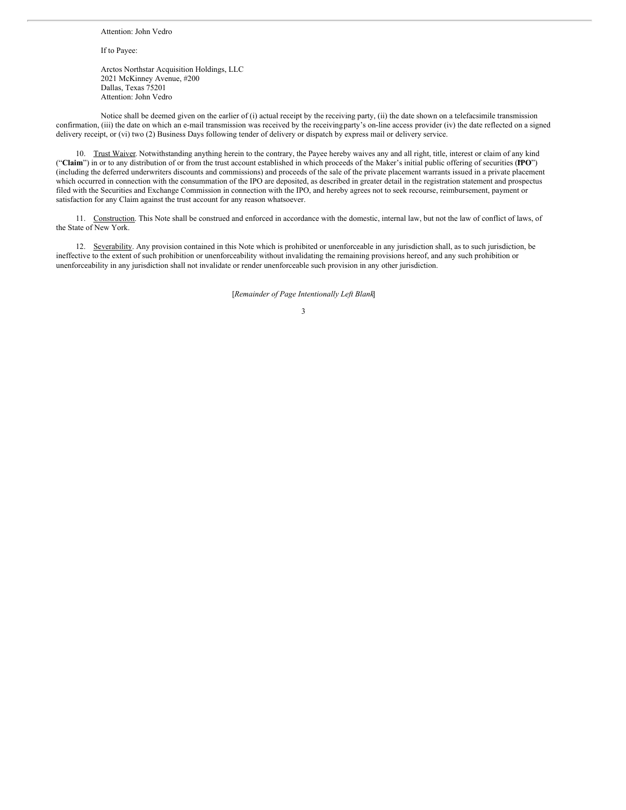#### Attention: John Vedro

If to Payee:

Arctos Northstar Acquisition Holdings, LLC 2021 McKinney Avenue, #200 Dallas, Texas 75201 Attention: John Vedro

Notice shall be deemed given on the earlier of (i) actual receipt by the receiving party, (ii) the date shown on a telefacsimile transmission confirmation, (iii) the date on which an e-mail transmission was received by the receivingparty's on-line access provider (iv) the date reflected on a signed delivery receipt, or (vi) two (2) Business Days following tender of delivery or dispatch by express mail or delivery service.

10. Trust Waiver. Notwithstanding anything herein to the contrary, the Payee hereby waives any and all right, title, interest or claim of any kind ("**Claim**") in or to any distribution of or from the trust account established in which proceeds of the Maker's initial public offering of securities (**I**"**PO**") (including the deferred underwriters discounts and commissions) and proceeds of the sale of the private placement warrants issued in a private placement which occurred in connection with the consummation of the IPO are deposited, as described in greater detail in the registration statement and prospectus filed with the Securities and Exchange Commission in connection with the IPO, and hereby agrees not to seek recourse, reimbursement, payment or satisfaction for any Claim against the trust account for any reason whatsoever.

11. Construction. This Note shall be construed and enforced in accordance with the domestic, internal law, but not the law of conflict of laws, of the State of New York.

12. Severability. Any provision contained in this Note which is prohibited or unenforceable in any jurisdiction shall, as to such jurisdiction, be ineffective to the extent of such prohibition or unenforceability without invalidating the remaining provisions hereof, and any such prohibition or unenforceability in any jurisdiction shall not invalidate or render unenforceable such provision in any other jurisdiction.

[*Remainder of Page Intentionally Left Blank*]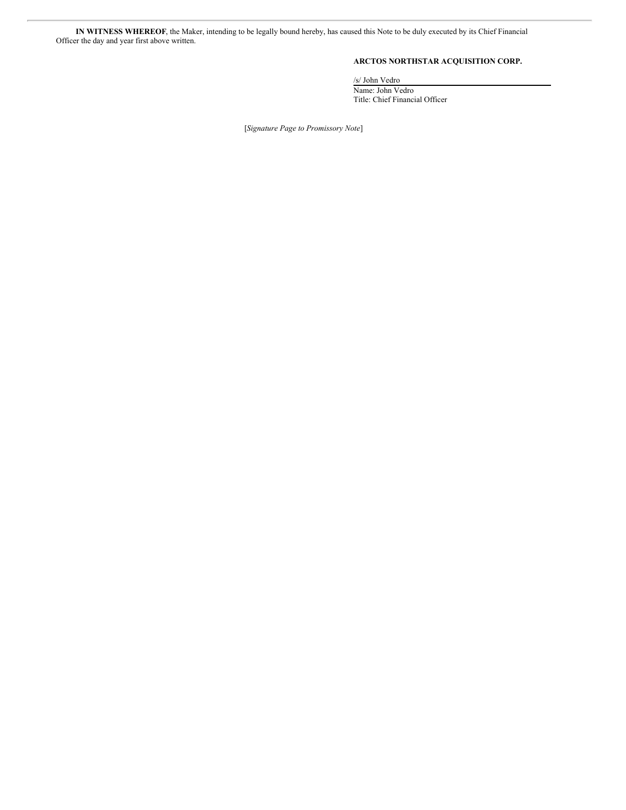**IN WITNESS WHEREOF**, the Maker, intending to be legally bound hereby, has caused this Note to be duly executed by its Chief Financial Officer the day and year first above written.

## **ARCTOS NORTHSTAR ACQUISITION CORP.**

/s/ John Vedro Name: John Vedro Title: Chief Financial Officer

[*Signature Page to Promissory Note*]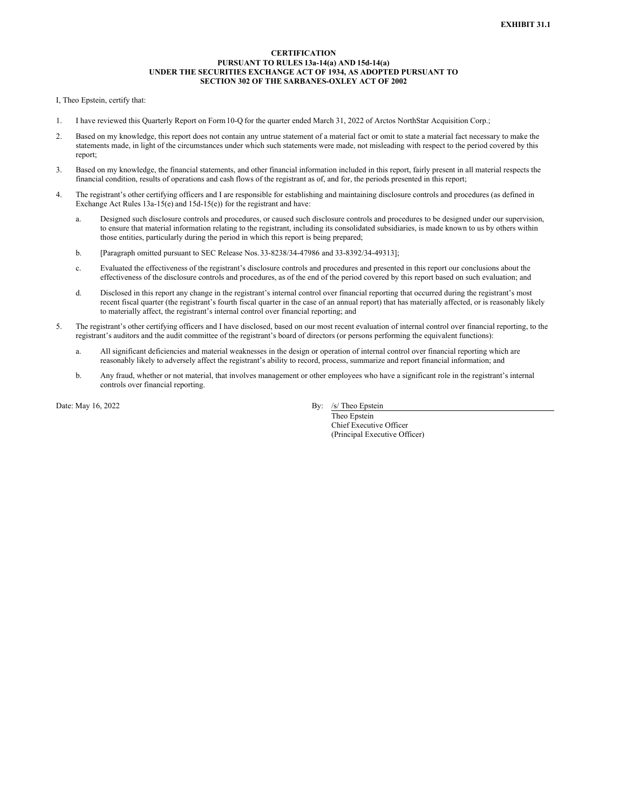#### **CERTIFICATION PURSUANT TO RULES 13a-14(a) AND 15d-14(a) UNDER THE SECURITIES EXCHANGE ACT OF 1934, AS ADOPTED PURSUANT TO SECTION 302 OF THE SARBANES-OXLEY ACT OF 2002**

<span id="page-35-0"></span>I, Theo Epstein, certify that:

- 1. I have reviewed this Quarterly Report on Form10-Q for the quarter ended March 31, 2022 of Arctos NorthStar Acquisition Corp.;
- 2. Based on my knowledge, this report does not contain any untrue statement of a material fact or omit to state a material fact necessary to make the statements made, in light of the circumstances under which such statements were made, not misleading with respect to the period covered by this report;
- 3. Based on my knowledge, the financial statements, and other financial information included in this report, fairly present in all material respects the financial condition, results of operations and cash flows of the registrant as of, and for, the periods presented in this report;
- 4. The registrant's other certifying officers and I are responsible for establishing and maintaining disclosure controls and procedures (as defined in Exchange Act Rules 13a-15(e) and 15d-15(e)) for the registrant and have:
	- a. Designed such disclosure controls and procedures, or caused such disclosure controls and procedures to be designed under our supervision, to ensure that material information relating to the registrant, including its consolidated subsidiaries, is made known to us by others within those entities, particularly during the period in which this report is being prepared;
	- b. [Paragraph omitted pursuant to SEC Release Nos.33-8238/34-47986 and 33-8392/34-49313];
	- c. Evaluated the effectiveness of the registrant's disclosure controls and procedures and presented in this report our conclusions about the effectiveness of the disclosure controls and procedures, as of the end of the period covered by this report based on such evaluation; and
	- d. Disclosed in this report any change in the registrant's internal control over financial reporting that occurred during the registrant's most recent fiscal quarter (the registrant's fourth fiscal quarter in the case of an annual report) that has materially affected, or is reasonably likely to materially affect, the registrant's internal control over financial reporting; and
- 5. The registrant's other certifying officers and I have disclosed, based on our most recent evaluation of internal control over financial reporting, to the registrant's auditors and the audit committee of the registrant's board of directors (or persons performing the equivalent functions):
	- a. All significant deficiencies and material weaknesses in the design or operation of internal control over financial reporting which are reasonably likely to adversely affect the registrant's ability to record, process, summarize and report financial information; and
	- b. Any fraud, whether or not material, that involves management or other employees who have a significant role in the registrant's internal controls over financial reporting.

Date: May 16, 2022 By: /s/ Theo Epstein

Theo Epstein Chief Executive Officer (Principal Executive Officer)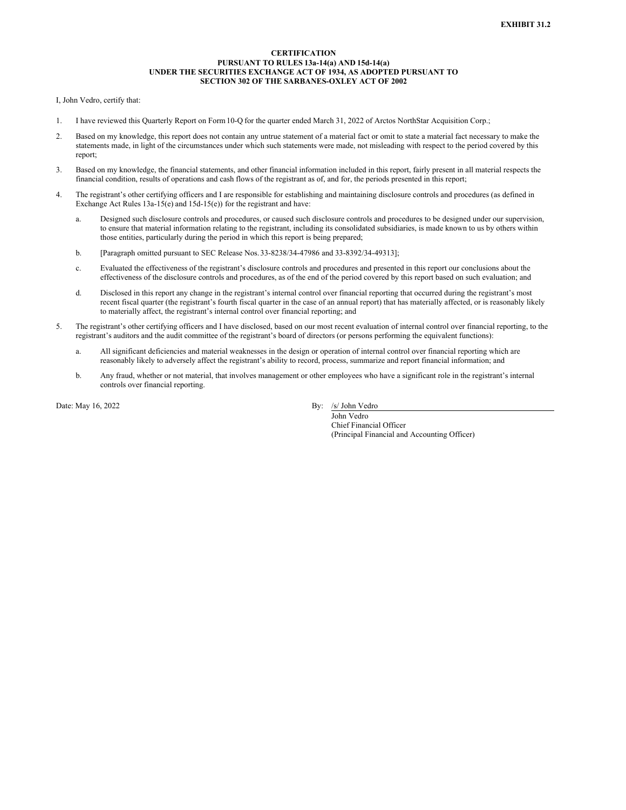#### **CERTIFICATION PURSUANT TO RULES 13a-14(a) AND 15d-14(a) UNDER THE SECURITIES EXCHANGE ACT OF 1934, AS ADOPTED PURSUANT TO SECTION 302 OF THE SARBANES-OXLEY ACT OF 2002**

### <span id="page-36-0"></span>I, John Vedro, certify that:

- 1. I have reviewed this Quarterly Report on Form10-Q for the quarter ended March 31, 2022 of Arctos NorthStar Acquisition Corp.;
- 2. Based on my knowledge, this report does not contain any untrue statement of a material fact or omit to state a material fact necessary to make the statements made, in light of the circumstances under which such statements were made, not misleading with respect to the period covered by this report;
- 3. Based on my knowledge, the financial statements, and other financial information included in this report, fairly present in all material respects the financial condition, results of operations and cash flows of the registrant as of, and for, the periods presented in this report;
- 4. The registrant's other certifying officers and I are responsible for establishing and maintaining disclosure controls and procedures (as defined in Exchange Act Rules 13a-15(e) and 15d-15(e)) for the registrant and have:
	- a. Designed such disclosure controls and procedures, or caused such disclosure controls and procedures to be designed under our supervision, to ensure that material information relating to the registrant, including its consolidated subsidiaries, is made known to us by others within those entities, particularly during the period in which this report is being prepared;
	- b. [Paragraph omitted pursuant to SEC Release Nos.33-8238/34-47986 and 33-8392/34-49313];
	- c. Evaluated the effectiveness of the registrant's disclosure controls and procedures and presented in this report our conclusions about the effectiveness of the disclosure controls and procedures, as of the end of the period covered by this report based on such evaluation; and
	- d. Disclosed in this report any change in the registrant's internal control over financial reporting that occurred during the registrant's most recent fiscal quarter (the registrant's fourth fiscal quarter in the case of an annual report) that has materially affected, or is reasonably likely to materially affect, the registrant's internal control over financial reporting; and
- 5. The registrant's other certifying officers and I have disclosed, based on our most recent evaluation of internal control over financial reporting, to the registrant's auditors and the audit committee of the registrant's board of directors (or persons performing the equivalent functions):
	- a. All significant deficiencies and material weaknesses in the design or operation of internal control over financial reporting which are reasonably likely to adversely affect the registrant's ability to record, process, summarize and report financial information; and
	- b. Any fraud, whether or not material, that involves management or other employees who have a significant role in the registrant's internal controls over financial reporting.

Date: May 16, 2022 By: /s/ John Vedro

John Vedro Chief Financial Officer (Principal Financial and Accounting Officer)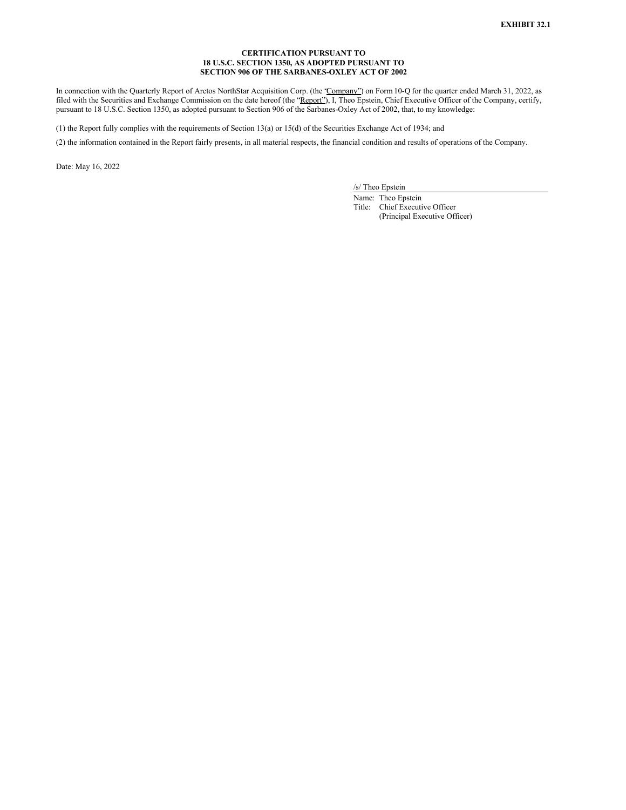#### **CERTIFICATION PURSUANT TO 18 U.S.C. SECTION 1350, AS ADOPTED PURSUANT TO SECTION 906 OF THE SARBANES-OXLEY ACT OF 2002**

<span id="page-37-0"></span>In connection with the Quarterly Report of Arctos NorthStar Acquisition Corp. (the 'Company'') on Form 10-Q for the quarter ended March 31, 2022, as filed with the Securities and Exchange Commission on the date hereof (the "Report"), I, Theo Epstein, Chief Executive Officer of the Company, certify, pursuant to 18 U.S.C. Section 1350, as adopted pursuant to Section 906 of the Sarbanes-Oxley Act of 2002, that, to my knowledge:

(1) the Report fully complies with the requirements of Section 13(a) or 15(d) of the Securities Exchange Act of 1934; and

(2) the information contained in the Report fairly presents, in all material respects, the financial condition and results of operations of the Company.

Date: May 16, 2022

/s/ Theo Epstein

Name: Theo Epstein Title: Chief Executive Officer (Principal Executive Officer)